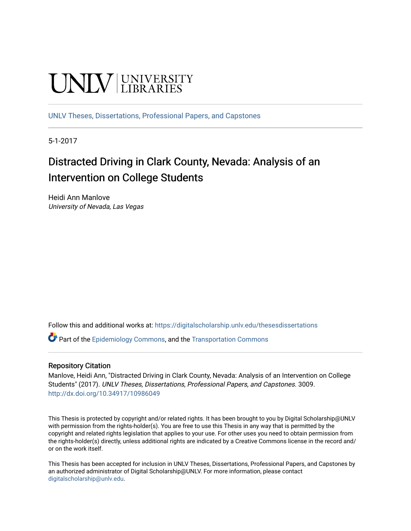# **UNIVERSITY**

[UNLV Theses, Dissertations, Professional Papers, and Capstones](https://digitalscholarship.unlv.edu/thesesdissertations)

5-1-2017

# Distracted Driving in Clark County, Nevada: Analysis of an Intervention on College Students

Heidi Ann Manlove University of Nevada, Las Vegas

Follow this and additional works at: [https://digitalscholarship.unlv.edu/thesesdissertations](https://digitalscholarship.unlv.edu/thesesdissertations?utm_source=digitalscholarship.unlv.edu%2Fthesesdissertations%2F3009&utm_medium=PDF&utm_campaign=PDFCoverPages)

Part of the [Epidemiology Commons,](http://network.bepress.com/hgg/discipline/740?utm_source=digitalscholarship.unlv.edu%2Fthesesdissertations%2F3009&utm_medium=PDF&utm_campaign=PDFCoverPages) and the [Transportation Commons](http://network.bepress.com/hgg/discipline/1068?utm_source=digitalscholarship.unlv.edu%2Fthesesdissertations%2F3009&utm_medium=PDF&utm_campaign=PDFCoverPages) 

#### Repository Citation

Manlove, Heidi Ann, "Distracted Driving in Clark County, Nevada: Analysis of an Intervention on College Students" (2017). UNLV Theses, Dissertations, Professional Papers, and Capstones. 3009. <http://dx.doi.org/10.34917/10986049>

This Thesis is protected by copyright and/or related rights. It has been brought to you by Digital Scholarship@UNLV with permission from the rights-holder(s). You are free to use this Thesis in any way that is permitted by the copyright and related rights legislation that applies to your use. For other uses you need to obtain permission from the rights-holder(s) directly, unless additional rights are indicated by a Creative Commons license in the record and/ or on the work itself.

This Thesis has been accepted for inclusion in UNLV Theses, Dissertations, Professional Papers, and Capstones by an authorized administrator of Digital Scholarship@UNLV. For more information, please contact [digitalscholarship@unlv.edu](mailto:digitalscholarship@unlv.edu).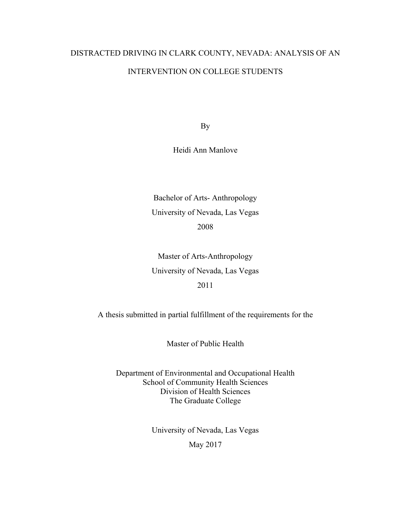# DISTRACTED DRIVING IN CLARK COUNTY, NEVADA: ANALYSIS OF AN INTERVENTION ON COLLEGE STUDENTS

By

Heidi Ann Manlove

Bachelor of Arts- Anthropology University of Nevada, Las Vegas 2008

Master of Arts-Anthropology University of Nevada, Las Vegas 2011

A thesis submitted in partial fulfillment of the requirements for the

Master of Public Health

Department of Environmental and Occupational Health School of Community Health Sciences Division of Health Sciences The Graduate College

> University of Nevada, Las Vegas May 2017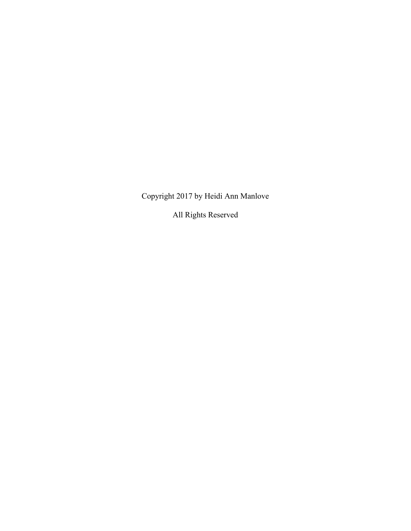Copyright 2017 by Heidi Ann Manlove

All Rights Reserved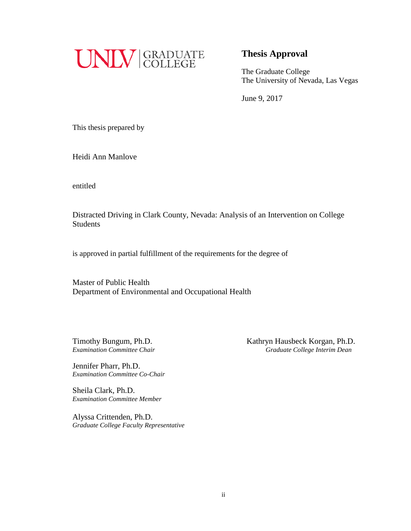

### **Thesis Approval**

The Graduate College The University of Nevada, Las Vegas

June 9, 2017

This thesis prepared by

Heidi Ann Manlove

entitled

Distracted Driving in Clark County, Nevada: Analysis of an Intervention on College Students

is approved in partial fulfillment of the requirements for the degree of

Master of Public Health Department of Environmental and Occupational Health

Jennifer Pharr, Ph.D. *Examination Committee Co-Chair*

Sheila Clark, Ph.D. *Examination Committee Member*

Alyssa Crittenden, Ph.D. *Graduate College Faculty Representative*

Timothy Bungum, Ph.D. *Kathryn Hausbeck Korgan, Ph.D. Examination Committee Chair Graduate College Interim Dean*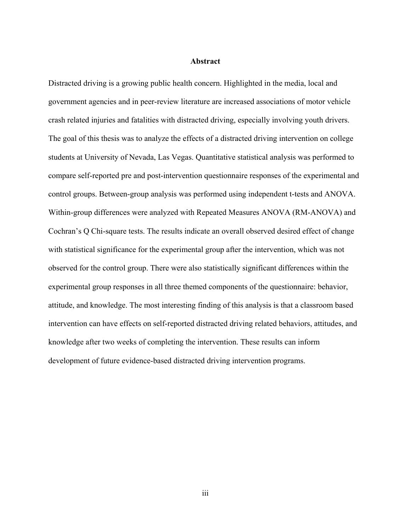#### **Abstract**

Distracted driving is a growing public health concern. Highlighted in the media, local and government agencies and in peer-review literature are increased associations of motor vehicle crash related injuries and fatalities with distracted driving, especially involving youth drivers. The goal of this thesis was to analyze the effects of a distracted driving intervention on college students at University of Nevada, Las Vegas. Quantitative statistical analysis was performed to compare self-reported pre and post-intervention questionnaire responses of the experimental and control groups. Between-group analysis was performed using independent t-tests and ANOVA. Within-group differences were analyzed with Repeated Measures ANOVA (RM-ANOVA) and Cochran's Q Chi-square tests. The results indicate an overall observed desired effect of change with statistical significance for the experimental group after the intervention, which was not observed for the control group. There were also statistically significant differences within the experimental group responses in all three themed components of the questionnaire: behavior, attitude, and knowledge. The most interesting finding of this analysis is that a classroom based intervention can have effects on self-reported distracted driving related behaviors, attitudes, and knowledge after two weeks of completing the intervention. These results can inform development of future evidence-based distracted driving intervention programs.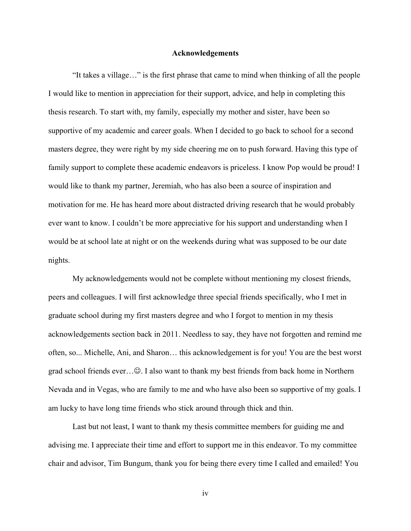#### **Acknowledgements**

"It takes a village…" is the first phrase that came to mind when thinking of all the people I would like to mention in appreciation for their support, advice, and help in completing this thesis research. To start with, my family, especially my mother and sister, have been so supportive of my academic and career goals. When I decided to go back to school for a second masters degree, they were right by my side cheering me on to push forward. Having this type of family support to complete these academic endeavors is priceless. I know Pop would be proud! I would like to thank my partner, Jeremiah, who has also been a source of inspiration and motivation for me. He has heard more about distracted driving research that he would probably ever want to know. I couldn't be more appreciative for his support and understanding when I would be at school late at night or on the weekends during what was supposed to be our date nights.

My acknowledgements would not be complete without mentioning my closest friends, peers and colleagues. I will first acknowledge three special friends specifically, who I met in graduate school during my first masters degree and who I forgot to mention in my thesis acknowledgements section back in 2011. Needless to say, they have not forgotten and remind me often, so... Michelle, Ani, and Sharon… this acknowledgement is for you! You are the best worst grad school friends ever... $\odot$ . I also want to thank my best friends from back home in Northern Nevada and in Vegas, who are family to me and who have also been so supportive of my goals. I am lucky to have long time friends who stick around through thick and thin.

Last but not least, I want to thank my thesis committee members for guiding me and advising me. I appreciate their time and effort to support me in this endeavor. To my committee chair and advisor, Tim Bungum, thank you for being there every time I called and emailed! You

iv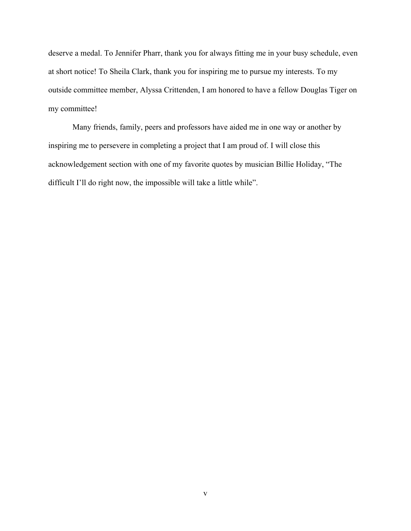deserve a medal. To Jennifer Pharr, thank you for always fitting me in your busy schedule, even at short notice! To Sheila Clark, thank you for inspiring me to pursue my interests. To my outside committee member, Alyssa Crittenden, I am honored to have a fellow Douglas Tiger on my committee!

Many friends, family, peers and professors have aided me in one way or another by inspiring me to persevere in completing a project that I am proud of. I will close this acknowledgement section with one of my favorite quotes by musician Billie Holiday, "The difficult I'll do right now, the impossible will take a little while".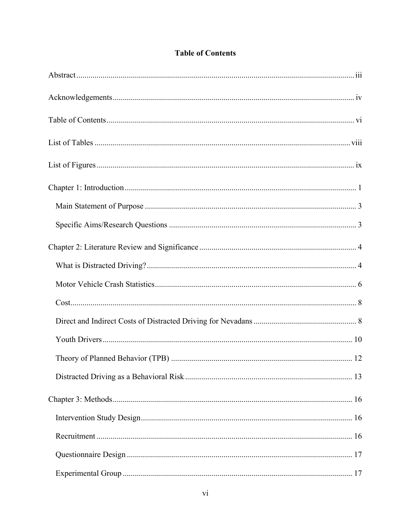|  | <b>Table of Contents</b> |
|--|--------------------------|
|  |                          |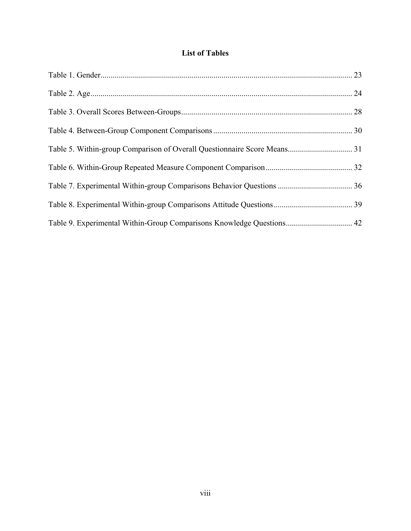## **List of Tables**

| Table 9. Experimental Within-Group Comparisons Knowledge Questions 42 |  |
|-----------------------------------------------------------------------|--|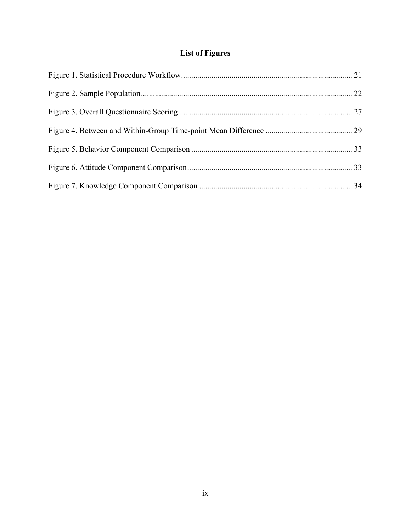## **List of Figures**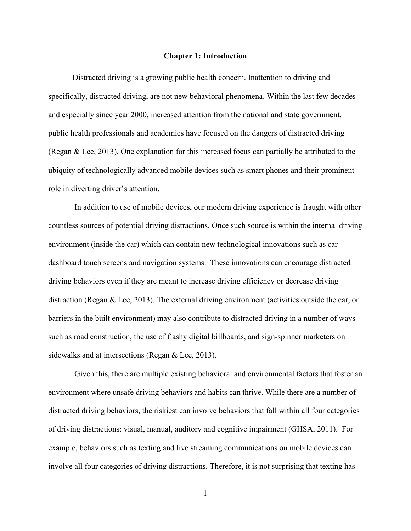#### **Chapter 1: Introduction**

Distracted driving is a growing public health concern. Inattention to driving and specifically, distracted driving, are not new behavioral phenomena. Within the last few decades and especially since year 2000, increased attention from the national and state government, public health professionals and academics have focused on the dangers of distracted driving (Regan & Lee, 2013). One explanation for this increased focus can partially be attributed to the ubiquity of technologically advanced mobile devices such as smart phones and their prominent role in diverting driver's attention.

 In addition to use of mobile devices, our modern driving experience is fraught with other countless sources of potential driving distractions. Once such source is within the internal driving environment (inside the car) which can contain new technological innovations such as car dashboard touch screens and navigation systems. These innovations can encourage distracted driving behaviors even if they are meant to increase driving efficiency or decrease driving distraction (Regan & Lee, 2013). The external driving environment (activities outside the car, or barriers in the built environment) may also contribute to distracted driving in a number of ways such as road construction, the use of flashy digital billboards, and sign-spinner marketers on sidewalks and at intersections (Regan & Lee, 2013).

 Given this, there are multiple existing behavioral and environmental factors that foster an environment where unsafe driving behaviors and habits can thrive. While there are a number of distracted driving behaviors, the riskiest can involve behaviors that fall within all four categories of driving distractions: visual, manual, auditory and cognitive impairment (GHSA, 2011). For example, behaviors such as texting and live streaming communications on mobile devices can involve all four categories of driving distractions. Therefore, it is not surprising that texting has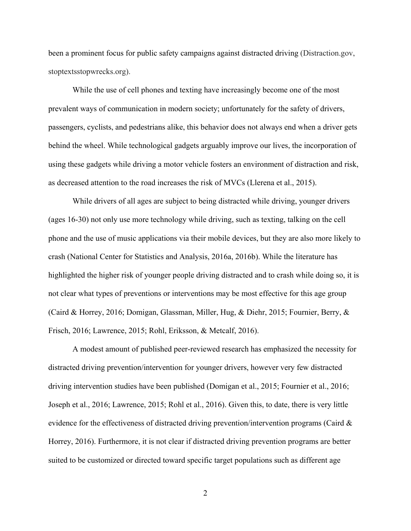been a prominent focus for public safety campaigns against distracted driving (Distraction.gov, stoptextsstopwrecks.org).

While the use of cell phones and texting have increasingly become one of the most prevalent ways of communication in modern society; unfortunately for the safety of drivers, passengers, cyclists, and pedestrians alike, this behavior does not always end when a driver gets behind the wheel. While technological gadgets arguably improve our lives, the incorporation of using these gadgets while driving a motor vehicle fosters an environment of distraction and risk, as decreased attention to the road increases the risk of MVCs (Llerena et al., 2015).

While drivers of all ages are subject to being distracted while driving, younger drivers (ages 16-30) not only use more technology while driving, such as texting, talking on the cell phone and the use of music applications via their mobile devices, but they are also more likely to crash (National Center for Statistics and Analysis, 2016a, 2016b). While the literature has highlighted the higher risk of younger people driving distracted and to crash while doing so, it is not clear what types of preventions or interventions may be most effective for this age group (Caird & Horrey, 2016; Domigan, Glassman, Miller, Hug, & Diehr, 2015; Fournier, Berry, & Frisch, 2016; Lawrence, 2015; Rohl, Eriksson, & Metcalf, 2016).

A modest amount of published peer-reviewed research has emphasized the necessity for distracted driving prevention/intervention for younger drivers, however very few distracted driving intervention studies have been published (Domigan et al., 2015; Fournier et al., 2016; Joseph et al., 2016; Lawrence, 2015; Rohl et al., 2016). Given this, to date, there is very little evidence for the effectiveness of distracted driving prevention/intervention programs (Caird & Horrey, 2016). Furthermore, it is not clear if distracted driving prevention programs are better suited to be customized or directed toward specific target populations such as different age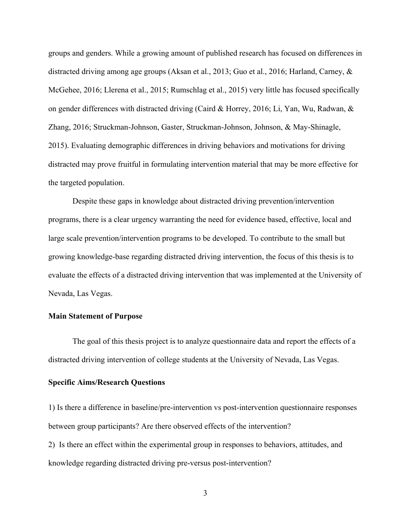groups and genders. While a growing amount of published research has focused on differences in distracted driving among age groups (Aksan et al., 2013; Guo et al., 2016; Harland, Carney, & McGehee, 2016; Llerena et al., 2015; Rumschlag et al., 2015) very little has focused specifically on gender differences with distracted driving (Caird & Horrey, 2016; Li, Yan, Wu, Radwan, & Zhang, 2016; Struckman-Johnson, Gaster, Struckman-Johnson, Johnson, & May-Shinagle, 2015). Evaluating demographic differences in driving behaviors and motivations for driving distracted may prove fruitful in formulating intervention material that may be more effective for the targeted population.

Despite these gaps in knowledge about distracted driving prevention/intervention programs, there is a clear urgency warranting the need for evidence based, effective, local and large scale prevention/intervention programs to be developed. To contribute to the small but growing knowledge-base regarding distracted driving intervention, the focus of this thesis is to evaluate the effects of a distracted driving intervention that was implemented at the University of Nevada, Las Vegas.

#### **Main Statement of Purpose**

The goal of this thesis project is to analyze questionnaire data and report the effects of a distracted driving intervention of college students at the University of Nevada, Las Vegas.

#### **Specific Aims/Research Questions**

1) Is there a difference in baseline/pre-intervention vs post-intervention questionnaire responses between group participants? Are there observed effects of the intervention? 2) Is there an effect within the experimental group in responses to behaviors, attitudes, and knowledge regarding distracted driving pre-versus post-intervention?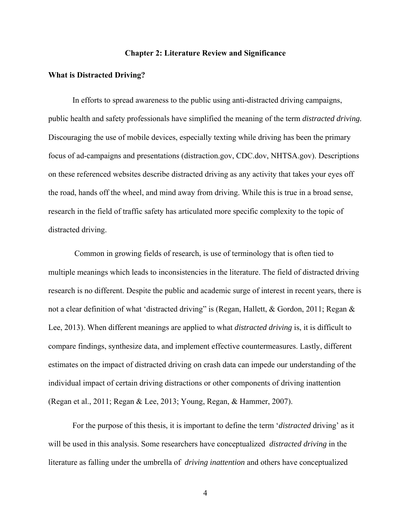#### **Chapter 2: Literature Review and Significance**

#### **What is Distracted Driving?**

In efforts to spread awareness to the public using anti-distracted driving campaigns, public health and safety professionals have simplified the meaning of the term *distracted driving.*  Discouraging the use of mobile devices, especially texting while driving has been the primary focus of ad-campaigns and presentations (distraction.gov, CDC.dov, NHTSA.gov). Descriptions on these referenced websites describe distracted driving as any activity that takes your eyes off the road, hands off the wheel, and mind away from driving. While this is true in a broad sense, research in the field of traffic safety has articulated more specific complexity to the topic of distracted driving.

 Common in growing fields of research, is use of terminology that is often tied to multiple meanings which leads to inconsistencies in the literature. The field of distracted driving research is no different. Despite the public and academic surge of interest in recent years, there is not a clear definition of what 'distracted driving" is (Regan, Hallett, & Gordon, 2011; Regan & Lee, 2013). When different meanings are applied to what *distracted driving* is, it is difficult to compare findings, synthesize data, and implement effective countermeasures. Lastly, different estimates on the impact of distracted driving on crash data can impede our understanding of the individual impact of certain driving distractions or other components of driving inattention (Regan et al., 2011; Regan & Lee, 2013; Young, Regan, & Hammer, 2007).

 For the purpose of this thesis, it is important to define the term '*distracted* driving' as it will be used in this analysis. Some researchers have conceptualized *distracted driving* in the literature as falling under the umbrella of *driving inattention* and others have conceptualized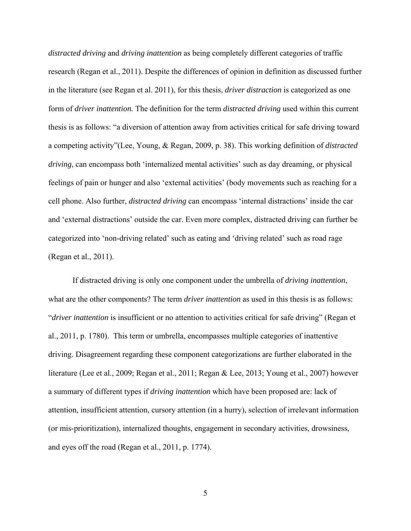*distracted driving* and *driving inattention* as being completely different categories of traffic research (Regan et al., 2011). Despite the differences of opinion in definition as discussed further in the literature (see Regan et al. 2011), for this thesis, *driver distraction* is categorized as one form of *driver inattention.* The definition for the term *distracted driving* used within this current thesis is as follows: "a diversion of attention away from activities critical for safe driving toward a competing activity"(Lee, Young, & Regan, 2009, p. 38). This working definition of *distracted driving*, can encompass both 'internalized mental activities' such as day dreaming, or physical feelings of pain or hunger and also 'external activities' (body movements such as reaching for a cell phone. Also further, *distracted driving* can encompass 'internal distractions' inside the car and 'external distractions' outside the car. Even more complex, distracted driving can further be categorized into 'non-driving related' such as eating and 'driving related' such as road rage (Regan et al., 2011).

If distracted driving is only one component under the umbrella of *driving inattention*, what are the other components? The term *driver inattention* as used in this thesis is as follows: "*driver inattention* is insufficient or no attention to activities critical for safe driving" (Regan et al., 2011, p. 1780). This term or umbrella, encompasses multiple categories of inattentive driving. Disagreement regarding these component categorizations are further elaborated in the literature (Lee et al., 2009; Regan et al., 2011; Regan & Lee, 2013; Young et al., 2007) however a summary of different types if *driving inattention* which have been proposed are: lack of attention, insufficient attention, cursory attention (in a hurry), selection of irrelevant information (or mis-prioritization), internalized thoughts, engagement in secondary activities, drowsiness, and eyes off the road (Regan et al., 2011, p. 1774).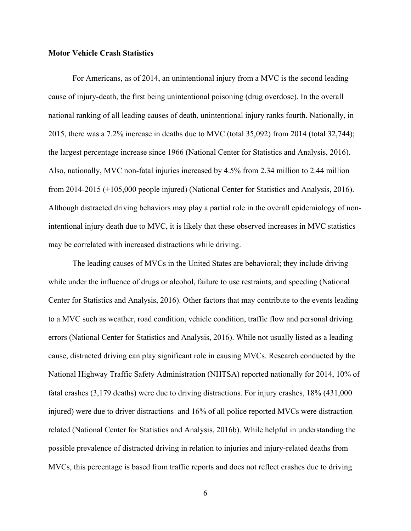#### **Motor Vehicle Crash Statistics**

For Americans, as of 2014, an unintentional injury from a MVC is the second leading cause of injury-death, the first being unintentional poisoning (drug overdose). In the overall national ranking of all leading causes of death, unintentional injury ranks fourth. Nationally, in 2015, there was a 7.2% increase in deaths due to MVC (total 35,092) from 2014 (total 32,744); the largest percentage increase since 1966 (National Center for Statistics and Analysis, 2016). Also, nationally, MVC non-fatal injuries increased by 4.5% from 2.34 million to 2.44 million from 2014-2015 (+105,000 people injured) (National Center for Statistics and Analysis, 2016). Although distracted driving behaviors may play a partial role in the overall epidemiology of nonintentional injury death due to MVC, it is likely that these observed increases in MVC statistics may be correlated with increased distractions while driving.

The leading causes of MVCs in the United States are behavioral; they include driving while under the influence of drugs or alcohol, failure to use restraints, and speeding (National Center for Statistics and Analysis, 2016). Other factors that may contribute to the events leading to a MVC such as weather, road condition, vehicle condition, traffic flow and personal driving errors (National Center for Statistics and Analysis, 2016). While not usually listed as a leading cause, distracted driving can play significant role in causing MVCs. Research conducted by the National Highway Traffic Safety Administration (NHTSA) reported nationally for 2014, 10% of fatal crashes (3,179 deaths) were due to driving distractions. For injury crashes, 18% (431,000 injured) were due to driver distractions and 16% of all police reported MVCs were distraction related (National Center for Statistics and Analysis, 2016b). While helpful in understanding the possible prevalence of distracted driving in relation to injuries and injury-related deaths from MVCs, this percentage is based from traffic reports and does not reflect crashes due to driving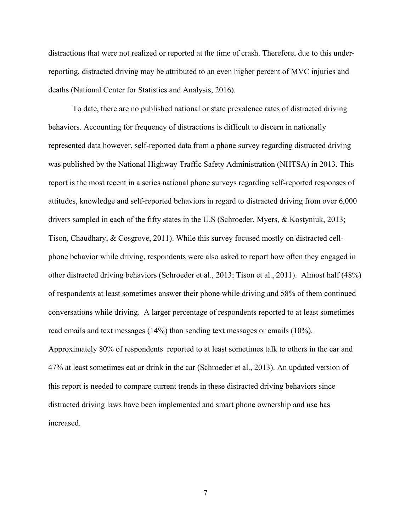distractions that were not realized or reported at the time of crash. Therefore, due to this underreporting, distracted driving may be attributed to an even higher percent of MVC injuries and deaths (National Center for Statistics and Analysis, 2016).

To date, there are no published national or state prevalence rates of distracted driving behaviors. Accounting for frequency of distractions is difficult to discern in nationally represented data however, self-reported data from a phone survey regarding distracted driving was published by the National Highway Traffic Safety Administration (NHTSA) in 2013. This report is the most recent in a series national phone surveys regarding self-reported responses of attitudes, knowledge and self-reported behaviors in regard to distracted driving from over 6,000 drivers sampled in each of the fifty states in the U.S (Schroeder, Myers, & Kostyniuk, 2013; Tison, Chaudhary, & Cosgrove, 2011). While this survey focused mostly on distracted cellphone behavior while driving, respondents were also asked to report how often they engaged in other distracted driving behaviors (Schroeder et al., 2013; Tison et al., 2011). Almost half (48%) of respondents at least sometimes answer their phone while driving and 58% of them continued conversations while driving. A larger percentage of respondents reported to at least sometimes read emails and text messages (14%) than sending text messages or emails (10%). Approximately 80% of respondents reported to at least sometimes talk to others in the car and 47% at least sometimes eat or drink in the car (Schroeder et al., 2013). An updated version of this report is needed to compare current trends in these distracted driving behaviors since distracted driving laws have been implemented and smart phone ownership and use has increased.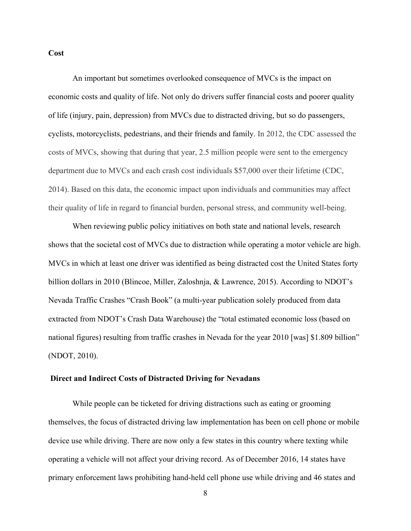#### **Cost**

An important but sometimes overlooked consequence of MVCs is the impact on economic costs and quality of life. Not only do drivers suffer financial costs and poorer quality of life (injury, pain, depression) from MVCs due to distracted driving, but so do passengers, cyclists, motorcyclists, pedestrians, and their friends and family. In 2012, the CDC assessed the costs of MVCs, showing that during that year, 2.5 million people were sent to the emergency department due to MVCs and each crash cost individuals \$57,000 over their lifetime (CDC, 2014). Based on this data, the economic impact upon individuals and communities may affect their quality of life in regard to financial burden, personal stress, and community well-being.

When reviewing public policy initiatives on both state and national levels, research shows that the societal cost of MVCs due to distraction while operating a motor vehicle are high. MVCs in which at least one driver was identified as being distracted cost the United States forty billion dollars in 2010 (Blincoe, Miller, Zaloshnja, & Lawrence, 2015). According to NDOT's Nevada Traffic Crashes "Crash Book" (a multi-year publication solely produced from data extracted from NDOT's Crash Data Warehouse) the "total estimated economic loss (based on national figures) resulting from traffic crashes in Nevada for the year 2010 [was] \$1.809 billion" (NDOT, 2010).

#### **Direct and Indirect Costs of Distracted Driving for Nevadans**

While people can be ticketed for driving distractions such as eating or grooming themselves, the focus of distracted driving law implementation has been on cell phone or mobile device use while driving. There are now only a few states in this country where texting while operating a vehicle will not affect your driving record. As of December 2016, 14 states have primary enforcement laws prohibiting hand-held cell phone use while driving and 46 states and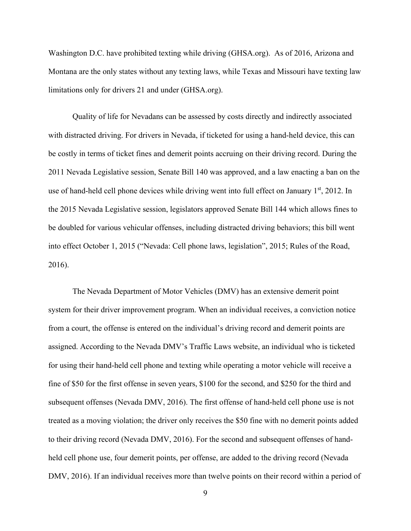Washington D.C. have prohibited texting while driving (GHSA.org). As of 2016, Arizona and Montana are the only states without any texting laws, while Texas and Missouri have texting law limitations only for drivers 21 and under (GHSA.org).

Quality of life for Nevadans can be assessed by costs directly and indirectly associated with distracted driving. For drivers in Nevada, if ticketed for using a hand-held device, this can be costly in terms of ticket fines and demerit points accruing on their driving record. During the 2011 Nevada Legislative session, Senate Bill 140 was approved, and a law enacting a ban on the use of hand-held cell phone devices while driving went into full effect on January 1<sup>st</sup>, 2012. In the 2015 Nevada Legislative session, legislators approved Senate Bill 144 which allows fines to be doubled for various vehicular offenses, including distracted driving behaviors; this bill went into effect October 1, 2015 ("Nevada: Cell phone laws, legislation", 2015; Rules of the Road, 2016).

 The Nevada Department of Motor Vehicles (DMV) has an extensive demerit point system for their driver improvement program. When an individual receives, a conviction notice from a court, the offense is entered on the individual's driving record and demerit points are assigned. According to the Nevada DMV's Traffic Laws website, an individual who is ticketed for using their hand-held cell phone and texting while operating a motor vehicle will receive a fine of \$50 for the first offense in seven years, \$100 for the second, and \$250 for the third and subsequent offenses (Nevada DMV, 2016). The first offense of hand-held cell phone use is not treated as a moving violation; the driver only receives the \$50 fine with no demerit points added to their driving record (Nevada DMV, 2016). For the second and subsequent offenses of handheld cell phone use, four demerit points, per offense, are added to the driving record (Nevada DMV, 2016). If an individual receives more than twelve points on their record within a period of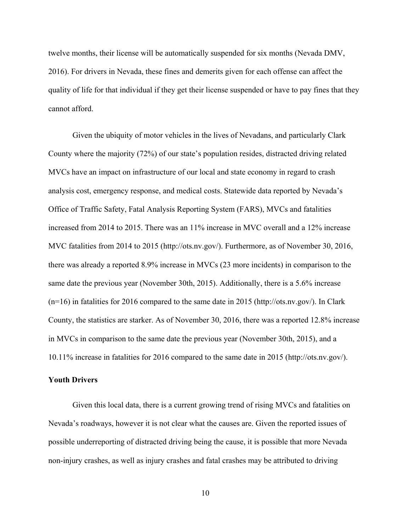twelve months, their license will be automatically suspended for six months (Nevada DMV, 2016). For drivers in Nevada, these fines and demerits given for each offense can affect the quality of life for that individual if they get their license suspended or have to pay fines that they cannot afford.

Given the ubiquity of motor vehicles in the lives of Nevadans, and particularly Clark County where the majority (72%) of our state's population resides, distracted driving related MVCs have an impact on infrastructure of our local and state economy in regard to crash analysis cost, emergency response, and medical costs. Statewide data reported by Nevada's Office of Traffic Safety, Fatal Analysis Reporting System (FARS), MVCs and fatalities increased from 2014 to 2015. There was an 11% increase in MVC overall and a 12% increase MVC fatalities from 2014 to 2015 (http://ots.nv.gov/). Furthermore, as of November 30, 2016, there was already a reported 8.9% increase in MVCs (23 more incidents) in comparison to the same date the previous year (November 30th, 2015). Additionally, there is a 5.6% increase (n=16) in fatalities for 2016 compared to the same date in 2015 (http://ots.nv.gov/). In Clark County, the statistics are starker. As of November 30, 2016, there was a reported 12.8% increase in MVCs in comparison to the same date the previous year (November 30th, 2015), and a 10.11% increase in fatalities for 2016 compared to the same date in 2015 (http://ots.nv.gov/).

#### **Youth Drivers**

Given this local data, there is a current growing trend of rising MVCs and fatalities on Nevada's roadways, however it is not clear what the causes are. Given the reported issues of possible underreporting of distracted driving being the cause, it is possible that more Nevada non-injury crashes, as well as injury crashes and fatal crashes may be attributed to driving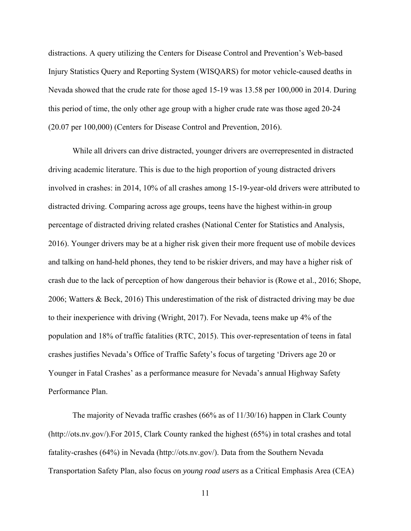distractions. A query utilizing the Centers for Disease Control and Prevention's Web-based Injury Statistics Query and Reporting System (WISQARS) for motor vehicle-caused deaths in Nevada showed that the crude rate for those aged 15-19 was 13.58 per 100,000 in 2014. During this period of time, the only other age group with a higher crude rate was those aged 20-24 (20.07 per 100,000) (Centers for Disease Control and Prevention, 2016).

While all drivers can drive distracted, younger drivers are overrepresented in distracted driving academic literature. This is due to the high proportion of young distracted drivers involved in crashes: in 2014, 10% of all crashes among 15-19-year-old drivers were attributed to distracted driving. Comparing across age groups, teens have the highest within-in group percentage of distracted driving related crashes (National Center for Statistics and Analysis, 2016). Younger drivers may be at a higher risk given their more frequent use of mobile devices and talking on hand-held phones, they tend to be riskier drivers, and may have a higher risk of crash due to the lack of perception of how dangerous their behavior is (Rowe et al., 2016; Shope, 2006; Watters & Beck, 2016) This underestimation of the risk of distracted driving may be due to their inexperience with driving (Wright, 2017). For Nevada, teens make up 4% of the population and 18% of traffic fatalities (RTC, 2015). This over-representation of teens in fatal crashes justifies Nevada's Office of Traffic Safety's focus of targeting 'Drivers age 20 or Younger in Fatal Crashes' as a performance measure for Nevada's annual Highway Safety Performance Plan.

The majority of Nevada traffic crashes (66% as of 11/30/16) happen in Clark County (http://ots.nv.gov/).For 2015, Clark County ranked the highest (65%) in total crashes and total fatality-crashes (64%) in Nevada (http://ots.nv.gov/). Data from the Southern Nevada Transportation Safety Plan, also focus on *young road users* as a Critical Emphasis Area (CEA)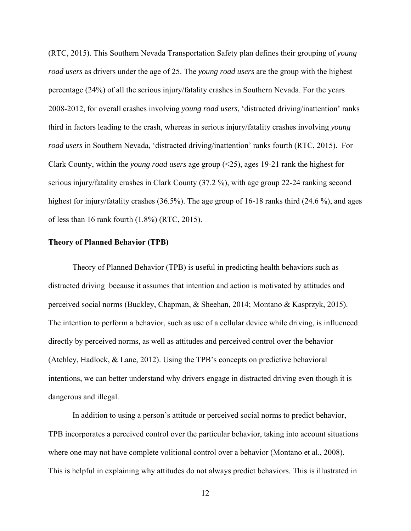(RTC, 2015). This Southern Nevada Transportation Safety plan defines their grouping of *young road users* as drivers under the age of 25. The *young road users* are the group with the highest percentage (24%) of all the serious injury/fatality crashes in Southern Nevada. For the years 2008-2012, for overall crashes involving *young road users*, 'distracted driving/inattention' ranks third in factors leading to the crash, whereas in serious injury/fatality crashes involving *young road users* in Southern Nevada, 'distracted driving/inattention' ranks fourth (RTC, 2015). For Clark County, within the *young road users* age group (<25), ages 19-21 rank the highest for serious injury/fatality crashes in Clark County (37.2 %), with age group 22-24 ranking second highest for injury/fatality crashes (36.5%). The age group of 16-18 ranks third (24.6 %), and ages of less than 16 rank fourth (1.8%) (RTC, 2015).

#### **Theory of Planned Behavior (TPB)**

Theory of Planned Behavior (TPB) is useful in predicting health behaviors such as distracted driving because it assumes that intention and action is motivated by attitudes and perceived social norms (Buckley, Chapman, & Sheehan, 2014; Montano & Kasprzyk, 2015). The intention to perform a behavior, such as use of a cellular device while driving, is influenced directly by perceived norms, as well as attitudes and perceived control over the behavior (Atchley, Hadlock, & Lane, 2012). Using the TPB's concepts on predictive behavioral intentions, we can better understand why drivers engage in distracted driving even though it is dangerous and illegal.

In addition to using a person's attitude or perceived social norms to predict behavior, TPB incorporates a perceived control over the particular behavior, taking into account situations where one may not have complete volitional control over a behavior (Montano et al., 2008). This is helpful in explaining why attitudes do not always predict behaviors. This is illustrated in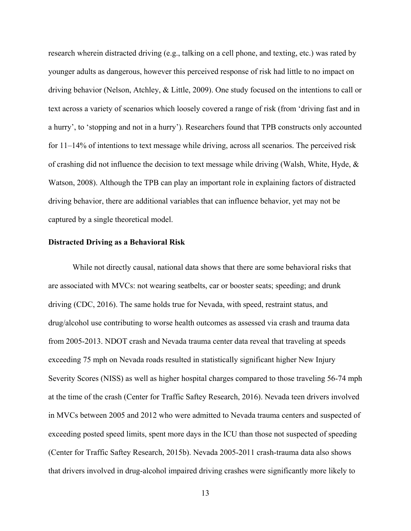research wherein distracted driving (e.g., talking on a cell phone, and texting, etc.) was rated by younger adults as dangerous, however this perceived response of risk had little to no impact on driving behavior (Nelson, Atchley, & Little, 2009). One study focused on the intentions to call or text across a variety of scenarios which loosely covered a range of risk (from 'driving fast and in a hurry', to 'stopping and not in a hurry'). Researchers found that TPB constructs only accounted for 11–14% of intentions to text message while driving, across all scenarios. The perceived risk of crashing did not influence the decision to text message while driving (Walsh, White, Hyde,  $\&$ Watson, 2008). Although the TPB can play an important role in explaining factors of distracted driving behavior, there are additional variables that can influence behavior, yet may not be captured by a single theoretical model.

#### **Distracted Driving as a Behavioral Risk**

While not directly causal, national data shows that there are some behavioral risks that are associated with MVCs: not wearing seatbelts, car or booster seats; speeding; and drunk driving (CDC, 2016). The same holds true for Nevada, with speed, restraint status, and drug/alcohol use contributing to worse health outcomes as assessed via crash and trauma data from 2005-2013. NDOT crash and Nevada trauma center data reveal that traveling at speeds exceeding 75 mph on Nevada roads resulted in statistically significant higher New Injury Severity Scores (NISS) as well as higher hospital charges compared to those traveling 56-74 mph at the time of the crash (Center for Traffic Saftey Research, 2016). Nevada teen drivers involved in MVCs between 2005 and 2012 who were admitted to Nevada trauma centers and suspected of exceeding posted speed limits, spent more days in the ICU than those not suspected of speeding (Center for Traffic Saftey Research, 2015b). Nevada 2005-2011 crash-trauma data also shows that drivers involved in drug-alcohol impaired driving crashes were significantly more likely to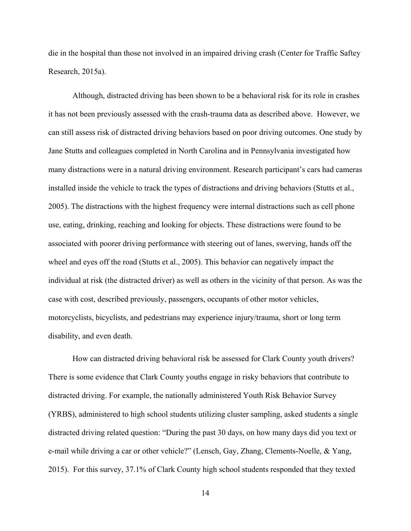die in the hospital than those not involved in an impaired driving crash (Center for Traffic Saftey Research, 2015a).

Although, distracted driving has been shown to be a behavioral risk for its role in crashes it has not been previously assessed with the crash-trauma data as described above. However, we can still assess risk of distracted driving behaviors based on poor driving outcomes. One study by Jane Stutts and colleagues completed in North Carolina and in Pennsylvania investigated how many distractions were in a natural driving environment. Research participant's cars had cameras installed inside the vehicle to track the types of distractions and driving behaviors (Stutts et al., 2005). The distractions with the highest frequency were internal distractions such as cell phone use, eating, drinking, reaching and looking for objects. These distractions were found to be associated with poorer driving performance with steering out of lanes, swerving, hands off the wheel and eyes off the road (Stutts et al., 2005). This behavior can negatively impact the individual at risk (the distracted driver) as well as others in the vicinity of that person. As was the case with cost, described previously, passengers, occupants of other motor vehicles, motorcyclists, bicyclists, and pedestrians may experience injury/trauma, short or long term disability, and even death.

How can distracted driving behavioral risk be assessed for Clark County youth drivers? There is some evidence that Clark County youths engage in risky behaviors that contribute to distracted driving. For example, the nationally administered Youth Risk Behavior Survey (YRBS), administered to high school students utilizing cluster sampling, asked students a single distracted driving related question: "During the past 30 days, on how many days did you text or e-mail while driving a car or other vehicle?" (Lensch, Gay, Zhang, Clements-Noelle, & Yang, 2015). For this survey, 37.1% of Clark County high school students responded that they texted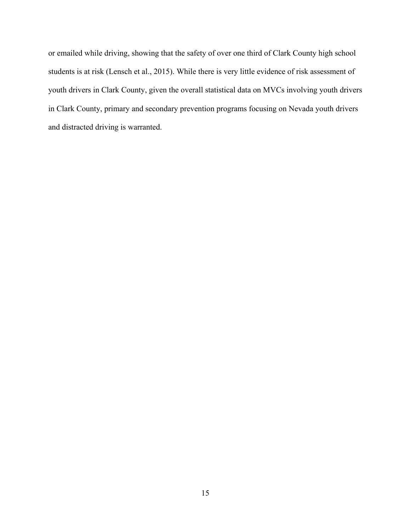or emailed while driving, showing that the safety of over one third of Clark County high school students is at risk (Lensch et al., 2015). While there is very little evidence of risk assessment of youth drivers in Clark County, given the overall statistical data on MVCs involving youth drivers in Clark County, primary and secondary prevention programs focusing on Nevada youth drivers and distracted driving is warranted.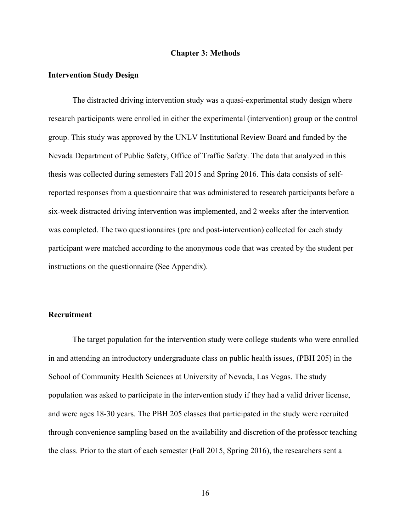#### **Chapter 3: Methods**

#### **Intervention Study Design**

The distracted driving intervention study was a quasi-experimental study design where research participants were enrolled in either the experimental (intervention) group or the control group. This study was approved by the UNLV Institutional Review Board and funded by the Nevada Department of Public Safety, Office of Traffic Safety. The data that analyzed in this thesis was collected during semesters Fall 2015 and Spring 2016. This data consists of selfreported responses from a questionnaire that was administered to research participants before a six-week distracted driving intervention was implemented, and 2 weeks after the intervention was completed. The two questionnaires (pre and post-intervention) collected for each study participant were matched according to the anonymous code that was created by the student per instructions on the questionnaire (See Appendix).

#### **Recruitment**

The target population for the intervention study were college students who were enrolled in and attending an introductory undergraduate class on public health issues, (PBH 205) in the School of Community Health Sciences at University of Nevada, Las Vegas. The study population was asked to participate in the intervention study if they had a valid driver license, and were ages 18-30 years. The PBH 205 classes that participated in the study were recruited through convenience sampling based on the availability and discretion of the professor teaching the class. Prior to the start of each semester (Fall 2015, Spring 2016), the researchers sent a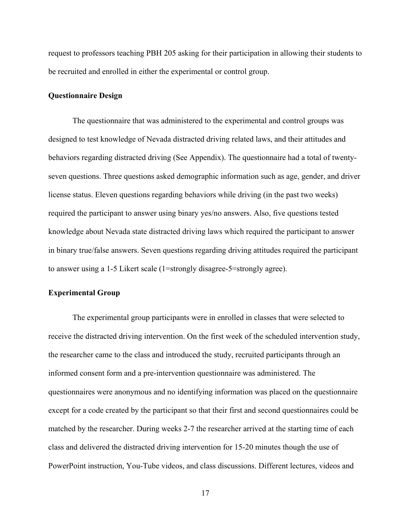request to professors teaching PBH 205 asking for their participation in allowing their students to be recruited and enrolled in either the experimental or control group.

#### **Questionnaire Design**

The questionnaire that was administered to the experimental and control groups was designed to test knowledge of Nevada distracted driving related laws, and their attitudes and behaviors regarding distracted driving (See Appendix). The questionnaire had a total of twentyseven questions. Three questions asked demographic information such as age, gender, and driver license status. Eleven questions regarding behaviors while driving (in the past two weeks) required the participant to answer using binary yes/no answers. Also, five questions tested knowledge about Nevada state distracted driving laws which required the participant to answer in binary true/false answers. Seven questions regarding driving attitudes required the participant to answer using a 1-5 Likert scale (1=strongly disagree-5=strongly agree).

#### **Experimental Group**

 The experimental group participants were in enrolled in classes that were selected to receive the distracted driving intervention. On the first week of the scheduled intervention study, the researcher came to the class and introduced the study, recruited participants through an informed consent form and a pre-intervention questionnaire was administered. The questionnaires were anonymous and no identifying information was placed on the questionnaire except for a code created by the participant so that their first and second questionnaires could be matched by the researcher. During weeks 2-7 the researcher arrived at the starting time of each class and delivered the distracted driving intervention for 15-20 minutes though the use of PowerPoint instruction, You-Tube videos, and class discussions. Different lectures, videos and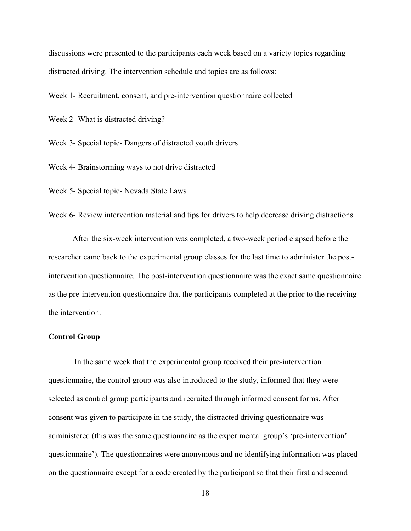discussions were presented to the participants each week based on a variety topics regarding distracted driving. The intervention schedule and topics are as follows:

Week 1- Recruitment, consent, and pre-intervention questionnaire collected

Week 2- What is distracted driving?

Week 3- Special topic- Dangers of distracted youth drivers

Week 4- Brainstorming ways to not drive distracted

Week 5- Special topic- Nevada State Laws

Week 6- Review intervention material and tips for drivers to help decrease driving distractions

 After the six-week intervention was completed, a two-week period elapsed before the researcher came back to the experimental group classes for the last time to administer the postintervention questionnaire. The post-intervention questionnaire was the exact same questionnaire as the pre-intervention questionnaire that the participants completed at the prior to the receiving the intervention.

#### **Control Group**

 In the same week that the experimental group received their pre-intervention questionnaire, the control group was also introduced to the study, informed that they were selected as control group participants and recruited through informed consent forms. After consent was given to participate in the study, the distracted driving questionnaire was administered (this was the same questionnaire as the experimental group's 'pre-intervention' questionnaire'). The questionnaires were anonymous and no identifying information was placed on the questionnaire except for a code created by the participant so that their first and second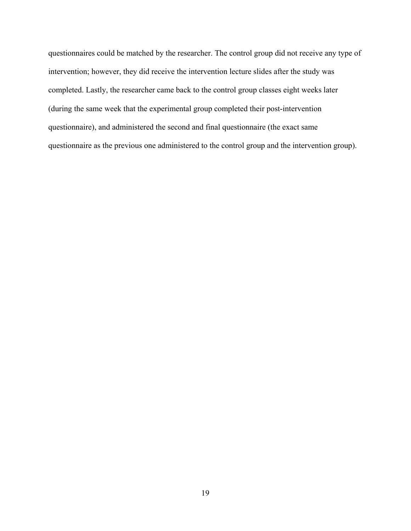questionnaires could be matched by the researcher. The control group did not receive any type of intervention; however, they did receive the intervention lecture slides after the study was completed. Lastly, the researcher came back to the control group classes eight weeks later (during the same week that the experimental group completed their post-intervention questionnaire), and administered the second and final questionnaire (the exact same questionnaire as the previous one administered to the control group and the intervention group).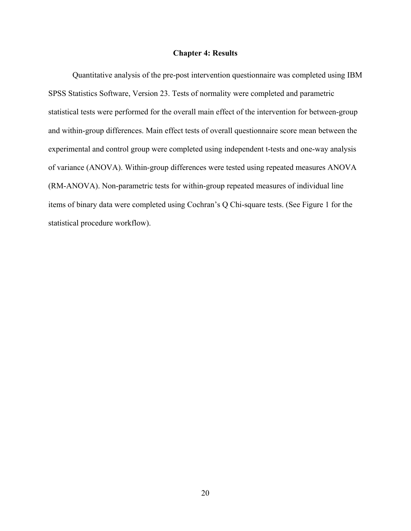#### **Chapter 4: Results**

Quantitative analysis of the pre-post intervention questionnaire was completed using IBM SPSS Statistics Software, Version 23. Tests of normality were completed and parametric statistical tests were performed for the overall main effect of the intervention for between-group and within-group differences. Main effect tests of overall questionnaire score mean between the experimental and control group were completed using independent t-tests and one-way analysis of variance (ANOVA). Within-group differences were tested using repeated measures ANOVA (RM-ANOVA). Non-parametric tests for within-group repeated measures of individual line items of binary data were completed using Cochran's Q Chi-square tests. (See Figure 1 for the statistical procedure workflow).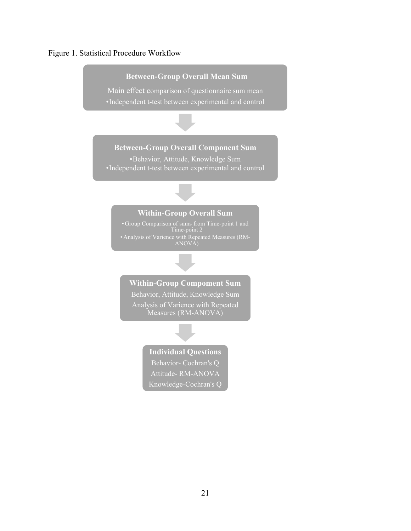#### Figure 1. Statistical Procedure Workflow

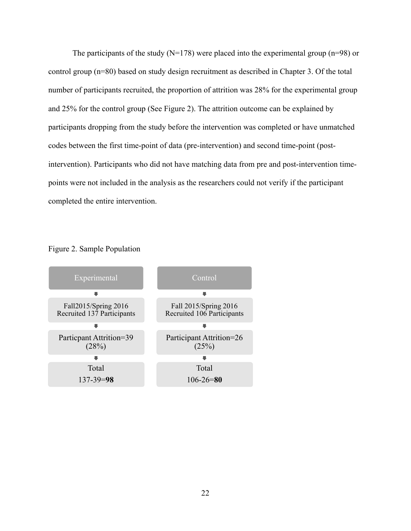The participants of the study ( $N=178$ ) were placed into the experimental group ( $n=98$ ) or control group (n=80) based on study design recruitment as described in Chapter 3. Of the total number of participants recruited, the proportion of attrition was 28% for the experimental group and 25% for the control group (See Figure 2). The attrition outcome can be explained by participants dropping from the study before the intervention was completed or have unmatched codes between the first time-point of data (pre-intervention) and second time-point (postintervention). Participants who did not have matching data from pre and post-intervention timepoints were not included in the analysis as the researchers could not verify if the participant completed the entire intervention.



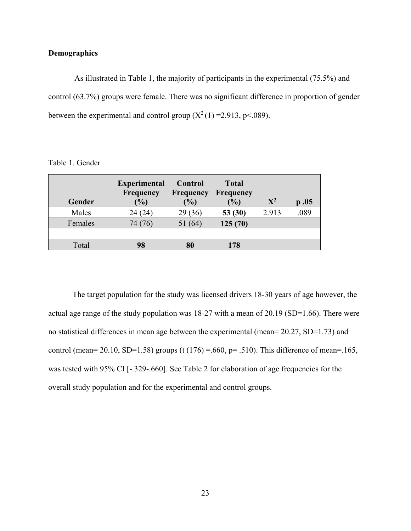#### **Demographics**

 As illustrated in Table 1, the majority of participants in the experimental (75.5%) and control (63.7%) groups were female. There was no significant difference in proportion of gender between the experimental and control group  $(X^2(1) = 2.913, p < .089)$ .

| Gender  | <b>Experimental</b><br><b>Frequency</b><br>(%) | Control<br><b>Frequency</b><br>(9/0) | <b>Total</b><br><b>Frequency</b><br>(%) | ${\bf X}^2$ | $\boldsymbol{0.05}$ |
|---------|------------------------------------------------|--------------------------------------|-----------------------------------------|-------------|---------------------|
| Males   | 24 (24                                         | (36)<br>29                           | 53 $(30)$                               | 2.913       | .089                |
| Females | 74 (76                                         | (64)                                 | 125(70)                                 |             |                     |
|         |                                                |                                      |                                         |             |                     |
| Total   | 98                                             | 80                                   | 178                                     |             |                     |

Table 1. Gender

The target population for the study was licensed drivers 18-30 years of age however, the actual age range of the study population was 18-27 with a mean of 20.19 (SD=1.66). There were no statistical differences in mean age between the experimental (mean= 20.27, SD=1.73) and control (mean= 20.10, SD=1.58) groups (t (176) =.660, p= .510). This difference of mean=.165, was tested with 95% CI [-.329-.660]. See Table 2 for elaboration of age frequencies for the overall study population and for the experimental and control groups.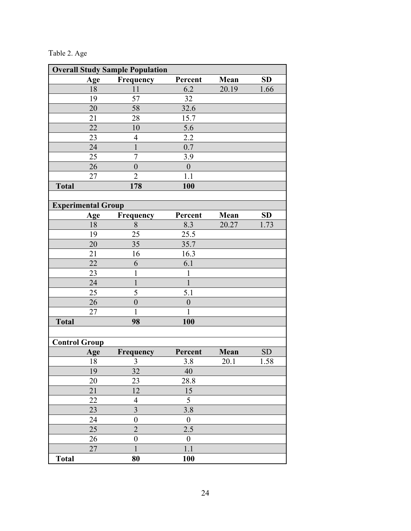Table 2. Age

| <b>Overall Study Sample Population</b> |                           |                          |                  |       |           |
|----------------------------------------|---------------------------|--------------------------|------------------|-------|-----------|
|                                        | Age                       | Frequency                | Percent          | Mean  | <b>SD</b> |
|                                        | 18                        | 11                       | 6.2              | 20.19 | 1.66      |
|                                        | 19                        | 57                       | 32               |       |           |
|                                        | 20                        | 58                       | 32.6             |       |           |
|                                        | 21                        | 28                       | 15.7             |       |           |
|                                        | 22                        | 10                       | 5.6              |       |           |
|                                        | 23                        | $\overline{4}$           | 2.2              |       |           |
|                                        | 24                        | $\mathbf{1}$             | 0.7              |       |           |
|                                        | 25                        | 7                        | 3.9              |       |           |
|                                        | 26                        | $\mathbf{0}$             | $\mathbf{0}$     |       |           |
|                                        | 27                        | $\overline{2}$           | 1.1              |       |           |
| <b>Total</b>                           |                           | 178                      | 100              |       |           |
|                                        |                           |                          |                  |       |           |
|                                        | <b>Experimental Group</b> |                          |                  |       |           |
|                                        | Age                       | Frequency                | Percent          | Mean  | SD        |
|                                        | 18                        | 8                        | 8.3              | 20.27 | 1.73      |
|                                        | 19                        | 25                       | 25.5             |       |           |
|                                        | 20                        | 35                       | 35.7             |       |           |
|                                        | 21                        | 16                       | 16.3             |       |           |
|                                        | 22                        | 6                        | 6.1              |       |           |
|                                        | 23                        | 1                        | $\mathbf{1}$     |       |           |
|                                        | 24                        | $\mathbf{1}$             | $\mathbf{1}$     |       |           |
|                                        | 25                        | 5                        | 5.1              |       |           |
|                                        | 26                        | $\boldsymbol{0}$         | $\boldsymbol{0}$ |       |           |
|                                        | 27                        | 1                        | 1                |       |           |
| <b>Total</b>                           |                           | 98                       | 100              |       |           |
|                                        |                           |                          |                  |       |           |
| <b>Control Group</b>                   |                           |                          |                  |       |           |
|                                        | Age                       | Frequency                | Percent          | Mean  | SD        |
|                                        | 18                        | 3                        | 3.8              | 20.1  | 1.58      |
|                                        | 19                        | 32                       | 40               |       |           |
|                                        | 20                        | 23                       | 28.8             |       |           |
|                                        | 21                        | 12                       | 15               |       |           |
|                                        | 22                        | $\overline{\mathcal{A}}$ | 5                |       |           |
|                                        | 23                        | $\overline{\mathbf{3}}$  | 3.8              |       |           |
|                                        | 24                        | $\boldsymbol{0}$         | $\boldsymbol{0}$ |       |           |
|                                        | 25                        | $\overline{2}$           | 2.5              |       |           |
|                                        | 26                        | $\boldsymbol{0}$         | $\boldsymbol{0}$ |       |           |
|                                        | 27                        | $\mathbf{1}$             | 1.1              |       |           |
| <b>Total</b>                           |                           | 80                       | 100              |       |           |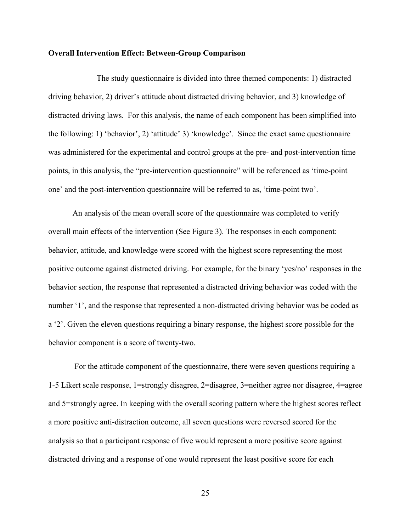#### **Overall Intervention Effect: Between-Group Comparison**

 The study questionnaire is divided into three themed components: 1) distracted driving behavior, 2) driver's attitude about distracted driving behavior, and 3) knowledge of distracted driving laws. For this analysis, the name of each component has been simplified into the following: 1) 'behavior', 2) 'attitude' 3) 'knowledge'. Since the exact same questionnaire was administered for the experimental and control groups at the pre- and post-intervention time points, in this analysis, the "pre-intervention questionnaire" will be referenced as 'time-point one' and the post-intervention questionnaire will be referred to as, 'time-point two'.

An analysis of the mean overall score of the questionnaire was completed to verify overall main effects of the intervention (See Figure 3). The responses in each component: behavior, attitude, and knowledge were scored with the highest score representing the most positive outcome against distracted driving. For example, for the binary 'yes/no' responses in the behavior section, the response that represented a distracted driving behavior was coded with the number '1', and the response that represented a non-distracted driving behavior was be coded as a '2'. Given the eleven questions requiring a binary response, the highest score possible for the behavior component is a score of twenty-two.

 For the attitude component of the questionnaire, there were seven questions requiring a 1-5 Likert scale response, 1=strongly disagree, 2=disagree, 3=neither agree nor disagree, 4=agree and 5=strongly agree. In keeping with the overall scoring pattern where the highest scores reflect a more positive anti-distraction outcome, all seven questions were reversed scored for the analysis so that a participant response of five would represent a more positive score against distracted driving and a response of one would represent the least positive score for each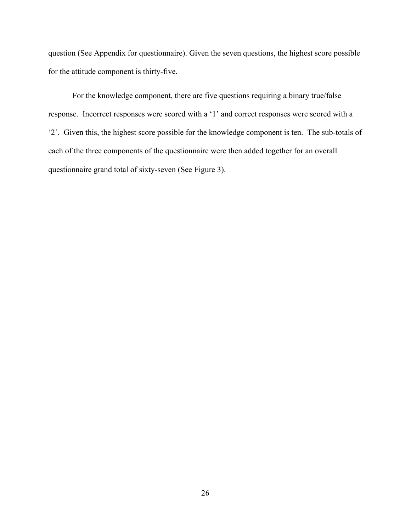question (See Appendix for questionnaire). Given the seven questions, the highest score possible for the attitude component is thirty-five.

For the knowledge component, there are five questions requiring a binary true/false response. Incorrect responses were scored with a '1' and correct responses were scored with a '2'. Given this, the highest score possible for the knowledge component is ten. The sub-totals of each of the three components of the questionnaire were then added together for an overall questionnaire grand total of sixty-seven (See Figure 3).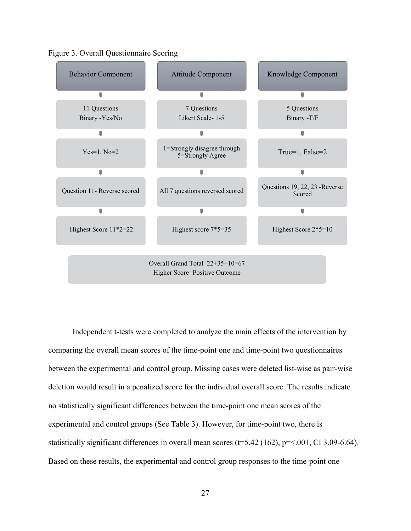

Figure 3. Overall Questionnaire Scoring

Independent t-tests were completed to analyze the main effects of the intervention by comparing the overall mean scores of the time-point one and time-point two questionnaires between the experimental and control group. Missing cases were deleted list-wise as pair-wise deletion would result in a penalized score for the individual overall score. The results indicate no statistically significant differences between the time-point one mean scores of the experimental and control groups (See Table 3). However, for time-point two, there is statistically significant differences in overall mean scores  $(t=5.42 \ (162), p=<.001, CI \ 3.09-6.64)$ . Based on these results, the experimental and control group responses to the time-point one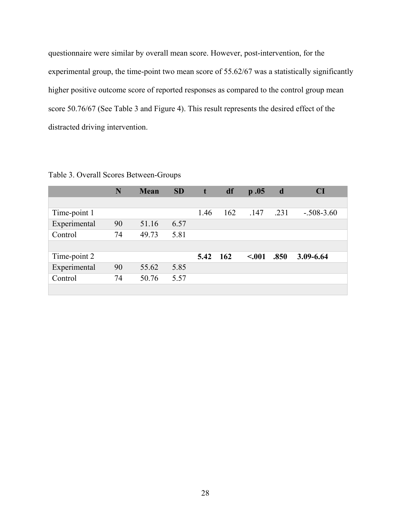questionnaire were similar by overall mean score. However, post-intervention, for the experimental group, the time-point two mean score of 55.62/67 was a statistically significantly higher positive outcome score of reported responses as compared to the control group mean score 50.76/67 (See Table 3 and Figure 4). This result represents the desired effect of the distracted driving intervention.

|              | N  | <b>Mean</b> | <b>SD</b> | t    | df  | $\mathbf{p}$ .05 | d    | <b>CI</b>    |
|--------------|----|-------------|-----------|------|-----|------------------|------|--------------|
|              |    |             |           |      |     |                  |      |              |
| Time-point 1 |    |             |           | 1.46 | 162 | .147             | .231 | $-.508-3.60$ |
| Experimental | 90 | 51.16       | 6.57      |      |     |                  |      |              |
| Control      | 74 | 49.73       | 5.81      |      |     |                  |      |              |
|              |    |             |           |      |     |                  |      |              |
| Time-point 2 |    |             |           | 5.42 | 162 | < .001           | .850 | 3.09-6.64    |
| Experimental | 90 | 55.62       | 5.85      |      |     |                  |      |              |
| Control      | 74 | 50.76       | 5.57      |      |     |                  |      |              |
|              |    |             |           |      |     |                  |      |              |

Table 3. Overall Scores Between-Groups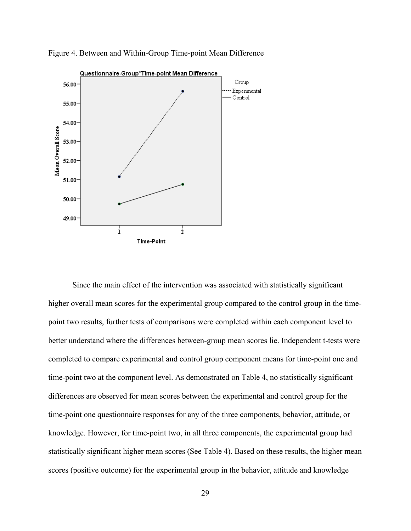

Figure 4. Between and Within-Group Time-point Mean Difference

Since the main effect of the intervention was associated with statistically significant higher overall mean scores for the experimental group compared to the control group in the timepoint two results, further tests of comparisons were completed within each component level to better understand where the differences between-group mean scores lie. Independent t-tests were completed to compare experimental and control group component means for time-point one and time-point two at the component level. As demonstrated on Table 4, no statistically significant differences are observed for mean scores between the experimental and control group for the time-point one questionnaire responses for any of the three components, behavior, attitude, or knowledge. However, for time-point two, in all three components, the experimental group had statistically significant higher mean scores (See Table 4). Based on these results, the higher mean scores (positive outcome) for the experimental group in the behavior, attitude and knowledge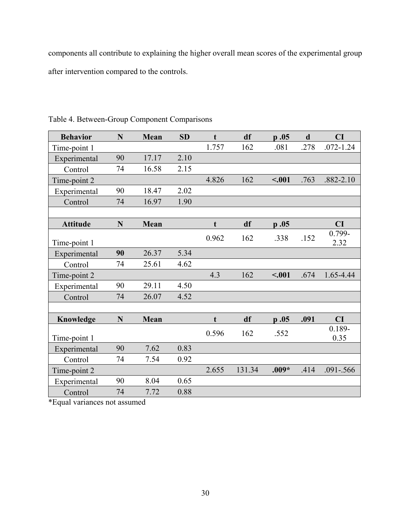components all contribute to explaining the higher overall mean scores of the experimental group after intervention compared to the controls.

| <b>Behavior</b> | N  | Mean  | <b>SD</b> | $\mathbf t$ | df     | p.05    | $\mathbf d$ | CI                |
|-----------------|----|-------|-----------|-------------|--------|---------|-------------|-------------------|
| Time-point 1    |    |       |           | 1.757       | 162    | .081    | .278        | $.072 - 1.24$     |
| Experimental    | 90 | 17.17 | 2.10      |             |        |         |             |                   |
| Control         | 74 | 16.58 | 2.15      |             |        |         |             |                   |
| Time-point 2    |    |       |           | 4.826       | 162    | $-.001$ | .763        | $.882 - 2.10$     |
| Experimental    | 90 | 18.47 | 2.02      |             |        |         |             |                   |
| Control         | 74 | 16.97 | 1.90      |             |        |         |             |                   |
|                 |    |       |           |             |        |         |             |                   |
| <b>Attitude</b> | N  | Mean  |           | t           | df     | p.05    |             | CI                |
| Time-point 1    |    |       |           | 0.962       | 162    | .338    | .152        | 0.799-<br>2.32    |
| Experimental    | 90 | 26.37 | 5.34      |             |        |         |             |                   |
| Control         | 74 | 25.61 | 4.62      |             |        |         |             |                   |
| Time-point 2    |    |       |           | 4.3         | 162    | $-.001$ | .674        | 1.65-4.44         |
| Experimental    | 90 | 29.11 | 4.50      |             |        |         |             |                   |
| Control         | 74 | 26.07 | 4.52      |             |        |         |             |                   |
|                 |    |       |           |             |        |         |             |                   |
| Knowledge       | N  | Mean  |           | t           | df     | p.05    | .091        | CI                |
| Time-point 1    |    |       |           | 0.596       | 162    | .552    |             | $0.189 -$<br>0.35 |
| Experimental    | 90 | 7.62  | 0.83      |             |        |         |             |                   |
| Control         | 74 | 7.54  | 0.92      |             |        |         |             |                   |
| Time-point 2    |    |       |           | 2.655       | 131.34 | $.009*$ | .414        | $.091 - .566$     |
| Experimental    | 90 | 8.04  | 0.65      |             |        |         |             |                   |
| Control         | 74 | 7.72  | 0.88      |             |        |         |             |                   |

Table 4. Between-Group Component Comparisons

\*Equal variances not assumed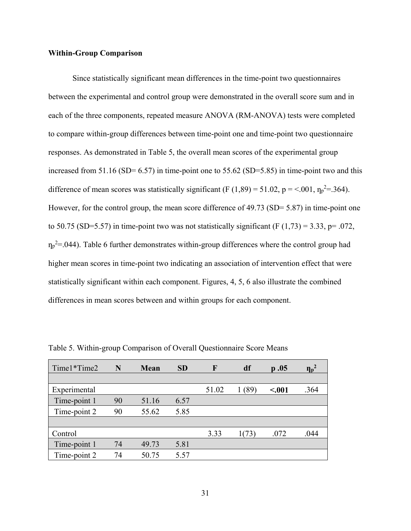#### **Within-Group Comparison**

Since statistically significant mean differences in the time-point two questionnaires between the experimental and control group were demonstrated in the overall score sum and in each of the three components, repeated measure ANOVA (RM-ANOVA) tests were completed to compare within-group differences between time-point one and time-point two questionnaire responses. As demonstrated in Table 5, the overall mean scores of the experimental group increased from  $51.16$  (SD= 6.57) in time-point one to  $55.62$  (SD=5.85) in time-point two and this difference of mean scores was statistically significant (F  $(1,89) = 51.02$ , p = <.001,  $\eta_p^2 = 364$ ). However, for the control group, the mean score difference of 49.73 (SD= 5.87) in time-point one to 50.75 (SD=5.57) in time-point two was not statistically significant (F  $(1,73) = 3.33$ , p= .072,  $\eta_p^2$ =.044). Table 6 further demonstrates within-group differences where the control group had higher mean scores in time-point two indicating an association of intervention effect that were statistically significant within each component. Figures, 4, 5, 6 also illustrate the combined differences in mean scores between and within groups for each component.

| Time1*Time2  | N  | <b>Mean</b> | <b>SD</b> | F     | df    | p.05    | $\mathbf{\eta_{p}}^{2}$ |
|--------------|----|-------------|-----------|-------|-------|---------|-------------------------|
|              |    |             |           |       |       |         |                         |
| Experimental |    |             |           | 51.02 | (89)  | $-.001$ | .364                    |
| Time-point 1 | 90 | 51.16       | 6.57      |       |       |         |                         |
| Time-point 2 | 90 | 55.62       | 5.85      |       |       |         |                         |
|              |    |             |           |       |       |         |                         |
| Control      |    |             |           | 3.33  | 1(73) | .072    | .044                    |
| Time-point 1 | 74 | 49.73       | 5.81      |       |       |         |                         |
| Time-point 2 | 74 | 50.75       | 5.57      |       |       |         |                         |

Table 5. Within-group Comparison of Overall Questionnaire Score Means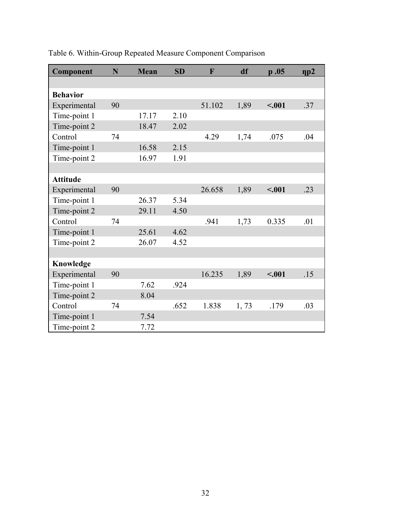| Component       | N  | <b>Mean</b> | <b>SD</b> | F      | df   | p.05    | $\eta p2$ |
|-----------------|----|-------------|-----------|--------|------|---------|-----------|
|                 |    |             |           |        |      |         |           |
| <b>Behavior</b> |    |             |           |        |      |         |           |
| Experimental    | 90 |             |           | 51.102 | 1,89 | < .001  | .37       |
| Time-point 1    |    | 17.17       | 2.10      |        |      |         |           |
| Time-point 2    |    | 18.47       | 2.02      |        |      |         |           |
| Control         | 74 |             |           | 4.29   | 1,74 | .075    | .04       |
| Time-point 1    |    | 16.58       | 2.15      |        |      |         |           |
| Time-point 2    |    | 16.97       | 1.91      |        |      |         |           |
|                 |    |             |           |        |      |         |           |
| <b>Attitude</b> |    |             |           |        |      |         |           |
| Experimental    | 90 |             |           | 26.658 | 1,89 | $-.001$ | .23       |
| Time-point 1    |    | 26.37       | 5.34      |        |      |         |           |
| Time-point 2    |    | 29.11       | 4.50      |        |      |         |           |
| Control         | 74 |             |           | .941   | 1,73 | 0.335   | .01       |
| Time-point 1    |    | 25.61       | 4.62      |        |      |         |           |
| Time-point 2    |    | 26.07       | 4.52      |        |      |         |           |
|                 |    |             |           |        |      |         |           |
| Knowledge       |    |             |           |        |      |         |           |
| Experimental    | 90 |             |           | 16.235 | 1,89 | < .001  | .15       |
| Time-point 1    |    | 7.62        | .924      |        |      |         |           |
| Time-point 2    |    | 8.04        |           |        |      |         |           |
| Control         | 74 |             | .652      | 1.838  | 1,73 | .179    | .03       |
| Time-point 1    |    | 7.54        |           |        |      |         |           |
| Time-point 2    |    | 7.72        |           |        |      |         |           |

Table 6. Within-Group Repeated Measure Component Comparison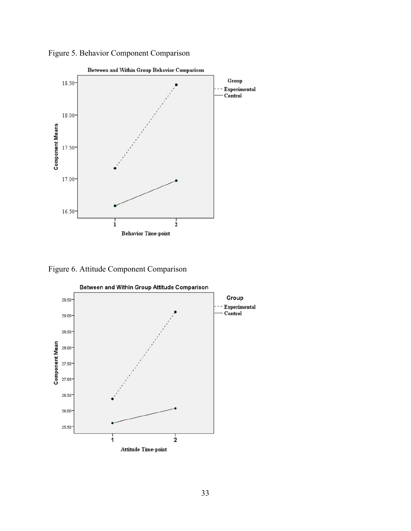

Figure 5. Behavior Component Comparison

Figure 6. Attitude Component Comparison



33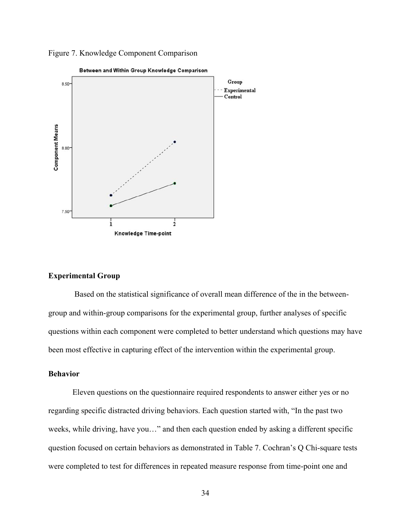



#### **Experimental Group**

 Based on the statistical significance of overall mean difference of the in the betweengroup and within-group comparisons for the experimental group, further analyses of specific questions within each component were completed to better understand which questions may have been most effective in capturing effect of the intervention within the experimental group.

### **Behavior**

 Eleven questions on the questionnaire required respondents to answer either yes or no regarding specific distracted driving behaviors. Each question started with, "In the past two weeks, while driving, have you…" and then each question ended by asking a different specific question focused on certain behaviors as demonstrated in Table 7. Cochran's Q Chi-square tests were completed to test for differences in repeated measure response from time-point one and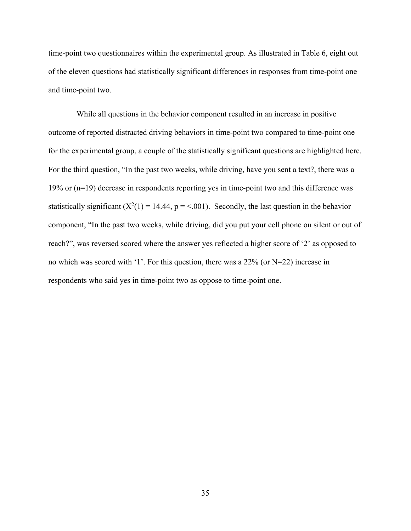time-point two questionnaires within the experimental group. As illustrated in Table 6, eight out of the eleven questions had statistically significant differences in responses from time-point one and time-point two.

 While all questions in the behavior component resulted in an increase in positive outcome of reported distracted driving behaviors in time-point two compared to time-point one for the experimental group, a couple of the statistically significant questions are highlighted here. For the third question, "In the past two weeks, while driving, have you sent a text?, there was a 19% or (n=19) decrease in respondents reporting yes in time-point two and this difference was statistically significant  $(X^2(1) = 14.44, p = 0.001)$ . Secondly, the last question in the behavior component, "In the past two weeks, while driving, did you put your cell phone on silent or out of reach?", was reversed scored where the answer yes reflected a higher score of '2' as opposed to no which was scored with '1'. For this question, there was a 22% (or N=22) increase in respondents who said yes in time-point two as oppose to time-point one.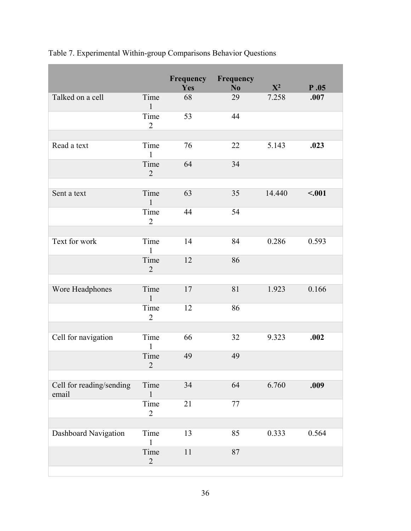|                                   |                        |     | <b>Frequency Frequency</b> |                |        |
|-----------------------------------|------------------------|-----|----------------------------|----------------|--------|
|                                   |                        | Yes | N <sub>o</sub>             | $\mathbf{X}^2$ | P.05   |
| Talked on a cell                  | Time<br>$\mathbf{1}$   | 68  | 29                         | 7.258          | .007   |
|                                   | Time<br>$\overline{2}$ | 53  | 44                         |                |        |
|                                   |                        |     |                            |                |        |
| Read a text                       | Time<br>$\mathbf{1}$   | 76  | 22                         | 5.143          | .023   |
|                                   | Time<br>$\overline{2}$ | 64  | 34                         |                |        |
|                                   |                        |     |                            |                |        |
| Sent a text                       | Time<br>$\mathbf{1}$   | 63  | 35                         | 14.440         | < .001 |
|                                   | Time<br>$\overline{2}$ | 44  | 54                         |                |        |
|                                   |                        |     |                            |                |        |
| Text for work                     | Time<br>$\mathbf{1}$   | 14  | 84                         | 0.286          | 0.593  |
|                                   | Time<br>$\overline{2}$ | 12  | 86                         |                |        |
|                                   |                        |     |                            |                |        |
| Wore Headphones                   | Time<br>$\mathbf{1}$   | 17  | 81                         | 1.923          | 0.166  |
|                                   | Time<br>$\overline{2}$ | 12  | 86                         |                |        |
|                                   |                        |     |                            |                |        |
| Cell for navigation               | Time<br>$\mathbf{1}$   | 66  | 32                         | 9.323          | .002   |
|                                   | Time<br>$\overline{2}$ | 49  | 49                         |                |        |
|                                   |                        |     |                            |                |        |
| Cell for reading/sending<br>email | Time<br>$\mathbf{1}$   | 34  | 64                         | 6.760          | .009   |
|                                   | Time<br>$\overline{2}$ | 21  | 77                         |                |        |
|                                   |                        |     |                            |                |        |
| Dashboard Navigation              | Time<br>$\mathbf{1}$   | 13  | 85                         | 0.333          | 0.564  |
|                                   | Time<br>$\overline{2}$ | 11  | 87                         |                |        |
|                                   |                        |     |                            |                |        |

|  | Table 7. Experimental Within-group Comparisons Behavior Questions |  |  |
|--|-------------------------------------------------------------------|--|--|
|  |                                                                   |  |  |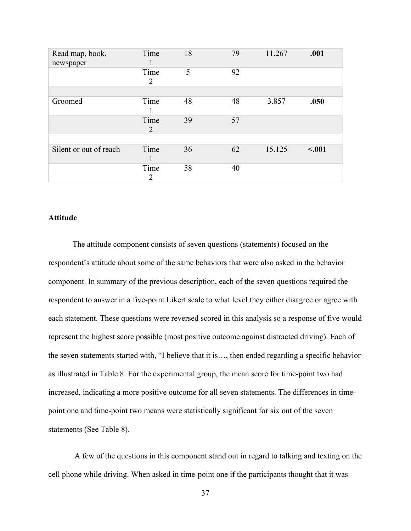| Read map, book,<br>newspaper | Time<br>1              | 18 | 79 | 11.267 | .001    |
|------------------------------|------------------------|----|----|--------|---------|
|                              | Time<br>$\overline{2}$ | 5  | 92 |        |         |
|                              |                        |    |    |        |         |
| Groomed                      | Time                   | 48 | 48 | 3.857  | .050    |
|                              | Time<br>$\overline{2}$ | 39 | 57 |        |         |
|                              |                        |    |    |        |         |
| Silent or out of reach       | Time<br>1              | 36 | 62 | 15.125 | $-.001$ |
|                              | Time<br>2              | 58 | 40 |        |         |

# **Attitude**

The attitude component consists of seven questions (statements) focused on the respondent's attitude about some of the same behaviors that were also asked in the behavior component. In summary of the previous description, each of the seven questions required the respondent to answer in a five-point Likert scale to what level they either disagree or agree with each statement. These questions were reversed scored in this analysis so a response of five would represent the highest score possible (most positive outcome against distracted driving). Each of the seven statements started with, "I believe that it is…, then ended regarding a specific behavior as illustrated in Table 8. For the experimental group, the mean score for time-point two had increased, indicating a more positive outcome for all seven statements. The differences in timepoint one and time-point two means were statistically significant for six out of the seven statements (See Table 8).

 A few of the questions in this component stand out in regard to talking and texting on the cell phone while driving. When asked in time-point one if the participants thought that it was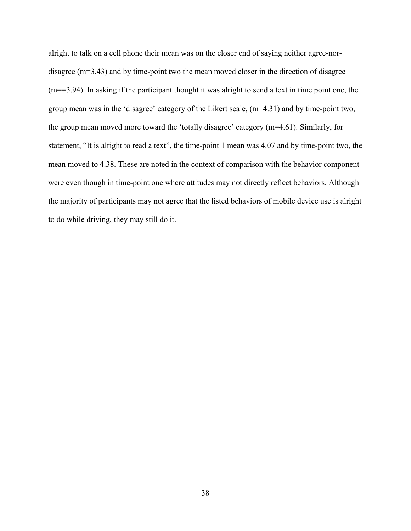alright to talk on a cell phone their mean was on the closer end of saying neither agree-nordisagree (m=3.43) and by time-point two the mean moved closer in the direction of disagree (m==3.94). In asking if the participant thought it was alright to send a text in time point one, the group mean was in the 'disagree' category of the Likert scale, (m=4.31) and by time-point two, the group mean moved more toward the 'totally disagree' category (m=4.61). Similarly, for statement, "It is alright to read a text", the time-point 1 mean was 4.07 and by time-point two, the mean moved to 4.38. These are noted in the context of comparison with the behavior component were even though in time-point one where attitudes may not directly reflect behaviors. Although the majority of participants may not agree that the listed behaviors of mobile device use is alright to do while driving, they may still do it.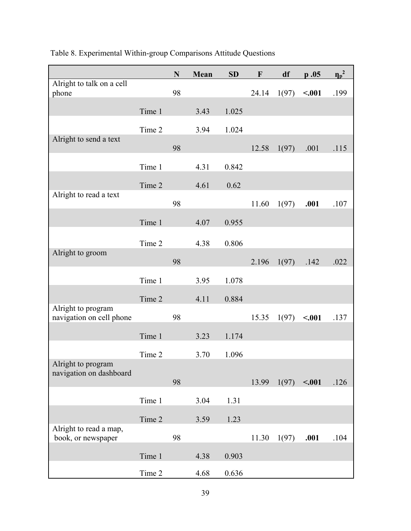|                                                |        | ${\bf N}$ | Mean | SD    | $\mathbf{F}$ | df    | p.05    | $\eta_p^2$ |
|------------------------------------------------|--------|-----------|------|-------|--------------|-------|---------|------------|
| Alright to talk on a cell<br>phone             |        | 98        |      |       | 24.14        | 1(97) | $-.001$ | .199       |
|                                                | Time 1 |           | 3.43 | 1.025 |              |       |         |            |
|                                                | Time 2 |           | 3.94 | 1.024 |              |       |         |            |
| Alright to send a text                         |        | 98        |      |       | 12.58        | 1(97) | .001    | .115       |
|                                                | Time 1 |           | 4.31 | 0.842 |              |       |         |            |
|                                                | Time 2 |           | 4.61 | 0.62  |              |       |         |            |
| Alright to read a text                         |        | 98        |      |       | 11.60        | 1(97) | .001    | .107       |
|                                                | Time 1 |           | 4.07 | 0.955 |              |       |         |            |
|                                                | Time 2 |           | 4.38 | 0.806 |              |       |         |            |
| Alright to groom                               |        |           |      |       |              |       |         |            |
|                                                |        | 98        |      |       | 2.196        | 1(97) | .142    | .022       |
|                                                | Time 1 |           | 3.95 | 1.078 |              |       |         |            |
|                                                | Time 2 |           | 4.11 | 0.884 |              |       |         |            |
| Alright to program<br>navigation on cell phone |        | 98        |      |       | 15.35        | 1(97) | $-.001$ | .137       |
|                                                | Time 1 |           | 3.23 | 1.174 |              |       |         |            |
|                                                | Time 2 |           | 3.70 | 1.096 |              |       |         |            |
| Alright to program<br>navigation on dashboard  |        |           |      |       |              |       |         |            |
|                                                |        | 98        |      |       | 13.99        | 1(97) | $-.001$ | .126       |
|                                                | Time 1 |           | 3.04 | 1.31  |              |       |         |            |
|                                                | Time 2 |           | 3.59 | 1.23  |              |       |         |            |
| Alright to read a map,<br>book, or newspaper   |        | 98        |      |       | 11.30        | 1(97) | .001    | .104       |
|                                                | Time 1 |           | 4.38 | 0.903 |              |       |         |            |
|                                                | Time 2 |           | 4.68 | 0.636 |              |       |         |            |

# Table 8. Experimental Within-group Comparisons Attitude Questions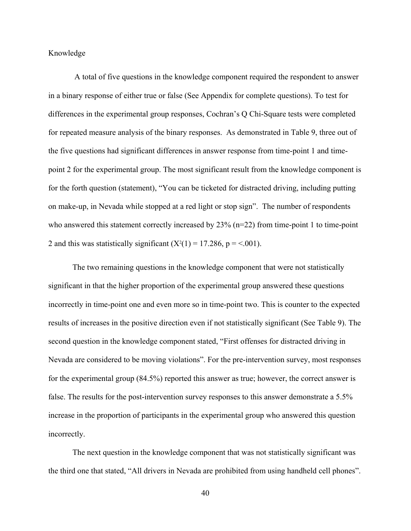Knowledge

 A total of five questions in the knowledge component required the respondent to answer in a binary response of either true or false (See Appendix for complete questions). To test for differences in the experimental group responses, Cochran's Q Chi-Square tests were completed for repeated measure analysis of the binary responses. As demonstrated in Table 9, three out of the five questions had significant differences in answer response from time-point 1 and timepoint 2 for the experimental group. The most significant result from the knowledge component is for the forth question (statement), "You can be ticketed for distracted driving, including putting on make-up, in Nevada while stopped at a red light or stop sign". The number of respondents who answered this statement correctly increased by  $23\%$  (n=22) from time-point 1 to time-point 2 and this was statistically significant  $(X^2(1) = 17.286, p = <.001)$ .

The two remaining questions in the knowledge component that were not statistically significant in that the higher proportion of the experimental group answered these questions incorrectly in time-point one and even more so in time-point two. This is counter to the expected results of increases in the positive direction even if not statistically significant (See Table 9). The second question in the knowledge component stated, "First offenses for distracted driving in Nevada are considered to be moving violations". For the pre-intervention survey, most responses for the experimental group (84.5%) reported this answer as true; however, the correct answer is false. The results for the post-intervention survey responses to this answer demonstrate a 5.5% increase in the proportion of participants in the experimental group who answered this question incorrectly.

The next question in the knowledge component that was not statistically significant was the third one that stated, "All drivers in Nevada are prohibited from using handheld cell phones".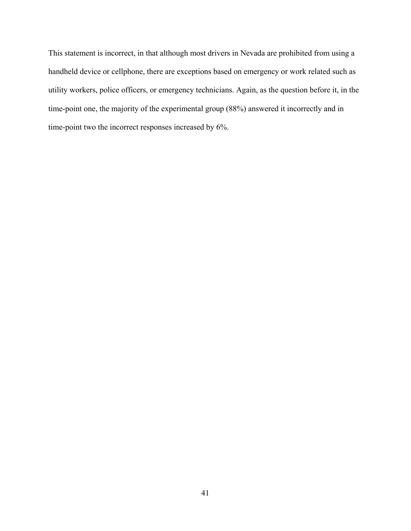This statement is incorrect, in that although most drivers in Nevada are prohibited from using a handheld device or cellphone, there are exceptions based on emergency or work related such as utility workers, police officers, or emergency technicians. Again, as the question before it, in the time-point one, the majority of the experimental group (88%) answered it incorrectly and in time-point two the incorrect responses increased by 6%.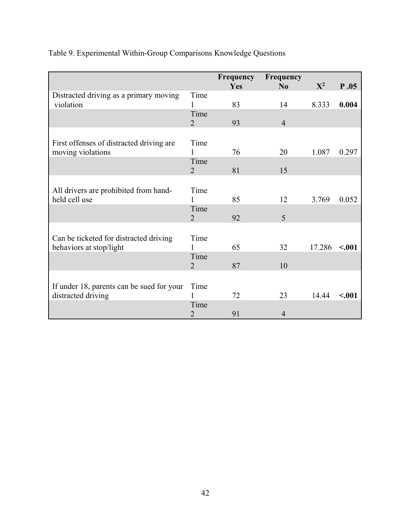|                                           |                | Frequency | Frequency      |        |        |
|-------------------------------------------|----------------|-----------|----------------|--------|--------|
|                                           |                | Yes       | No             | $X^2$  | P.05   |
| Distracted driving as a primary moving    | Time           |           |                |        |        |
| violation                                 | 1              | 83        | 14             | 8.333  | 0.004  |
|                                           | Time           |           |                |        |        |
|                                           | $\overline{2}$ | 93        | $\overline{4}$ |        |        |
|                                           |                |           |                |        |        |
| First offenses of distracted driving are. | Time           |           |                |        |        |
| moving violations                         | 1              | 76        | 20             | 1.087  | 0.297  |
|                                           | Time           |           |                |        |        |
|                                           | $\overline{2}$ | 81        | 15             |        |        |
|                                           |                |           |                |        |        |
| All drivers are prohibited from hand-     | Time           |           |                |        |        |
| held cell use                             | 1              | 85        | 12             | 3.769  | 0.052  |
|                                           | Time           |           |                |        |        |
|                                           | $\overline{2}$ | 92        | 5              |        |        |
|                                           |                |           |                |        |        |
| Can be ticketed for distracted driving    | Time           |           |                |        |        |
| behaviors at stop/light                   |                | 65        | 32             | 17.286 | < .001 |
|                                           | Time           |           |                |        |        |
|                                           | $\overline{2}$ | 87        | 10             |        |        |
|                                           |                |           |                |        |        |
| If under 18, parents can be sued for your | Time           |           |                |        |        |
| distracted driving                        | 1              | 72        | 23             | 14.44  | < .001 |
|                                           | Time           |           |                |        |        |
|                                           | $\overline{2}$ | 91        | 4              |        |        |

# Table 9. Experimental Within-Group Comparisons Knowledge Questions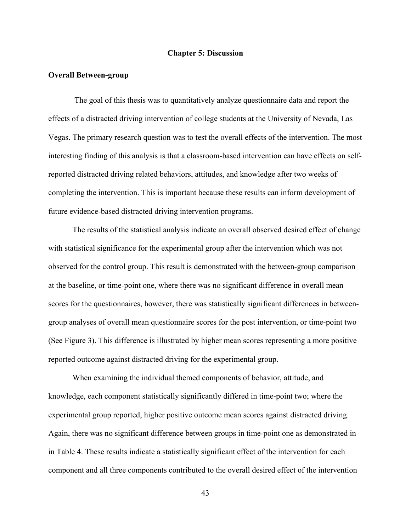#### **Chapter 5: Discussion**

#### **Overall Between-group**

 The goal of this thesis was to quantitatively analyze questionnaire data and report the effects of a distracted driving intervention of college students at the University of Nevada, Las Vegas. The primary research question was to test the overall effects of the intervention. The most interesting finding of this analysis is that a classroom-based intervention can have effects on selfreported distracted driving related behaviors, attitudes, and knowledge after two weeks of completing the intervention. This is important because these results can inform development of future evidence-based distracted driving intervention programs.

The results of the statistical analysis indicate an overall observed desired effect of change with statistical significance for the experimental group after the intervention which was not observed for the control group. This result is demonstrated with the between-group comparison at the baseline, or time-point one, where there was no significant difference in overall mean scores for the questionnaires, however, there was statistically significant differences in betweengroup analyses of overall mean questionnaire scores for the post intervention, or time-point two (See Figure 3). This difference is illustrated by higher mean scores representing a more positive reported outcome against distracted driving for the experimental group.

When examining the individual themed components of behavior, attitude, and knowledge, each component statistically significantly differed in time-point two; where the experimental group reported, higher positive outcome mean scores against distracted driving. Again, there was no significant difference between groups in time-point one as demonstrated in in Table 4. These results indicate a statistically significant effect of the intervention for each component and all three components contributed to the overall desired effect of the intervention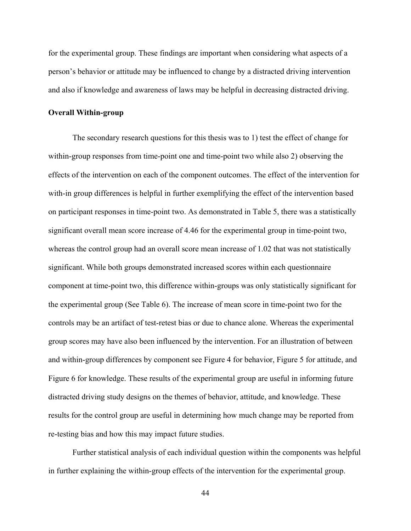for the experimental group. These findings are important when considering what aspects of a person's behavior or attitude may be influenced to change by a distracted driving intervention and also if knowledge and awareness of laws may be helpful in decreasing distracted driving.

#### **Overall Within-group**

The secondary research questions for this thesis was to 1) test the effect of change for within-group responses from time-point one and time-point two while also 2) observing the effects of the intervention on each of the component outcomes. The effect of the intervention for with-in group differences is helpful in further exemplifying the effect of the intervention based on participant responses in time-point two. As demonstrated in Table 5, there was a statistically significant overall mean score increase of 4.46 for the experimental group in time-point two, whereas the control group had an overall score mean increase of 1.02 that was not statistically significant. While both groups demonstrated increased scores within each questionnaire component at time-point two, this difference within-groups was only statistically significant for the experimental group (See Table 6). The increase of mean score in time-point two for the controls may be an artifact of test-retest bias or due to chance alone. Whereas the experimental group scores may have also been influenced by the intervention. For an illustration of between and within-group differences by component see Figure 4 for behavior, Figure 5 for attitude, and Figure 6 for knowledge. These results of the experimental group are useful in informing future distracted driving study designs on the themes of behavior, attitude, and knowledge. These results for the control group are useful in determining how much change may be reported from re-testing bias and how this may impact future studies.

Further statistical analysis of each individual question within the components was helpful in further explaining the within-group effects of the intervention for the experimental group.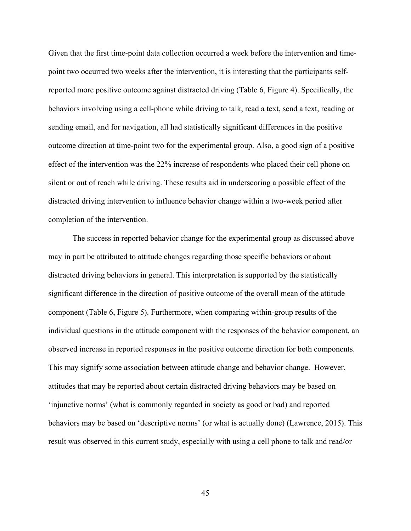Given that the first time-point data collection occurred a week before the intervention and timepoint two occurred two weeks after the intervention, it is interesting that the participants selfreported more positive outcome against distracted driving (Table 6, Figure 4). Specifically, the behaviors involving using a cell-phone while driving to talk, read a text, send a text, reading or sending email, and for navigation, all had statistically significant differences in the positive outcome direction at time-point two for the experimental group. Also, a good sign of a positive effect of the intervention was the 22% increase of respondents who placed their cell phone on silent or out of reach while driving. These results aid in underscoring a possible effect of the distracted driving intervention to influence behavior change within a two-week period after completion of the intervention.

The success in reported behavior change for the experimental group as discussed above may in part be attributed to attitude changes regarding those specific behaviors or about distracted driving behaviors in general. This interpretation is supported by the statistically significant difference in the direction of positive outcome of the overall mean of the attitude component (Table 6, Figure 5). Furthermore, when comparing within-group results of the individual questions in the attitude component with the responses of the behavior component, an observed increase in reported responses in the positive outcome direction for both components. This may signify some association between attitude change and behavior change. However, attitudes that may be reported about certain distracted driving behaviors may be based on 'injunctive norms' (what is commonly regarded in society as good or bad) and reported behaviors may be based on 'descriptive norms' (or what is actually done) (Lawrence, 2015). This result was observed in this current study, especially with using a cell phone to talk and read/or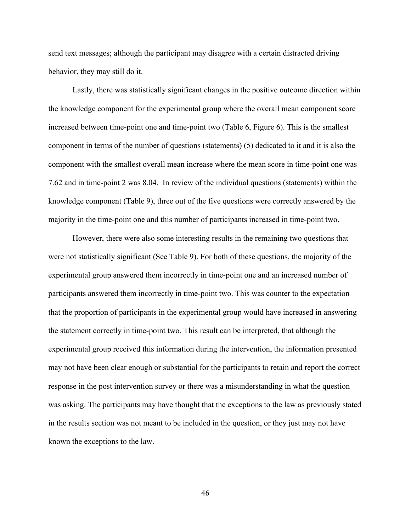send text messages; although the participant may disagree with a certain distracted driving behavior, they may still do it.

Lastly, there was statistically significant changes in the positive outcome direction within the knowledge component for the experimental group where the overall mean component score increased between time-point one and time-point two (Table 6, Figure 6). This is the smallest component in terms of the number of questions (statements) (5) dedicated to it and it is also the component with the smallest overall mean increase where the mean score in time-point one was 7.62 and in time-point 2 was 8.04. In review of the individual questions (statements) within the knowledge component (Table 9), three out of the five questions were correctly answered by the majority in the time-point one and this number of participants increased in time-point two.

However, there were also some interesting results in the remaining two questions that were not statistically significant (See Table 9). For both of these questions, the majority of the experimental group answered them incorrectly in time-point one and an increased number of participants answered them incorrectly in time-point two. This was counter to the expectation that the proportion of participants in the experimental group would have increased in answering the statement correctly in time-point two. This result can be interpreted, that although the experimental group received this information during the intervention, the information presented may not have been clear enough or substantial for the participants to retain and report the correct response in the post intervention survey or there was a misunderstanding in what the question was asking. The participants may have thought that the exceptions to the law as previously stated in the results section was not meant to be included in the question, or they just may not have known the exceptions to the law.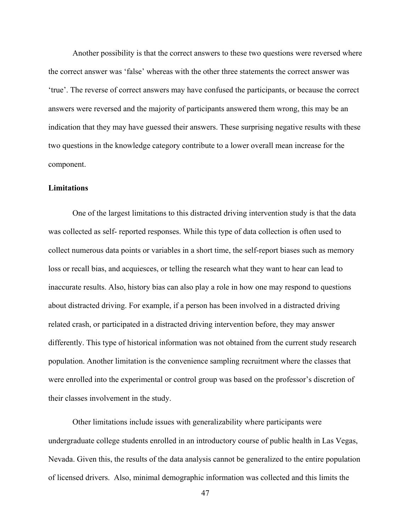Another possibility is that the correct answers to these two questions were reversed where the correct answer was 'false' whereas with the other three statements the correct answer was 'true'. The reverse of correct answers may have confused the participants, or because the correct answers were reversed and the majority of participants answered them wrong, this may be an indication that they may have guessed their answers. These surprising negative results with these two questions in the knowledge category contribute to a lower overall mean increase for the component.

### **Limitations**

 One of the largest limitations to this distracted driving intervention study is that the data was collected as self- reported responses. While this type of data collection is often used to collect numerous data points or variables in a short time, the self-report biases such as memory loss or recall bias, and acquiesces, or telling the research what they want to hear can lead to inaccurate results. Also, history bias can also play a role in how one may respond to questions about distracted driving. For example, if a person has been involved in a distracted driving related crash, or participated in a distracted driving intervention before, they may answer differently. This type of historical information was not obtained from the current study research population. Another limitation is the convenience sampling recruitment where the classes that were enrolled into the experimental or control group was based on the professor's discretion of their classes involvement in the study.

Other limitations include issues with generalizability where participants were undergraduate college students enrolled in an introductory course of public health in Las Vegas, Nevada. Given this, the results of the data analysis cannot be generalized to the entire population of licensed drivers. Also, minimal demographic information was collected and this limits the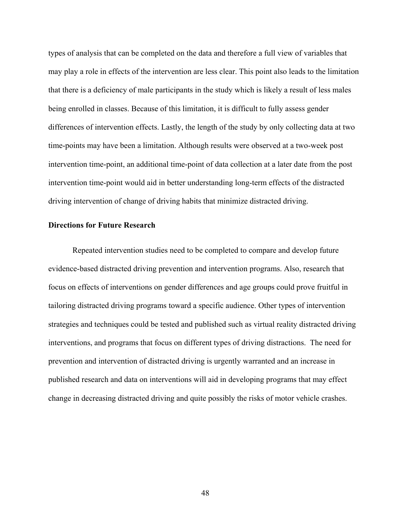types of analysis that can be completed on the data and therefore a full view of variables that may play a role in effects of the intervention are less clear. This point also leads to the limitation that there is a deficiency of male participants in the study which is likely a result of less males being enrolled in classes. Because of this limitation, it is difficult to fully assess gender differences of intervention effects. Lastly, the length of the study by only collecting data at two time-points may have been a limitation. Although results were observed at a two-week post intervention time-point, an additional time-point of data collection at a later date from the post intervention time-point would aid in better understanding long-term effects of the distracted driving intervention of change of driving habits that minimize distracted driving.

#### **Directions for Future Research**

Repeated intervention studies need to be completed to compare and develop future evidence-based distracted driving prevention and intervention programs. Also, research that focus on effects of interventions on gender differences and age groups could prove fruitful in tailoring distracted driving programs toward a specific audience. Other types of intervention strategies and techniques could be tested and published such as virtual reality distracted driving interventions, and programs that focus on different types of driving distractions. The need for prevention and intervention of distracted driving is urgently warranted and an increase in published research and data on interventions will aid in developing programs that may effect change in decreasing distracted driving and quite possibly the risks of motor vehicle crashes.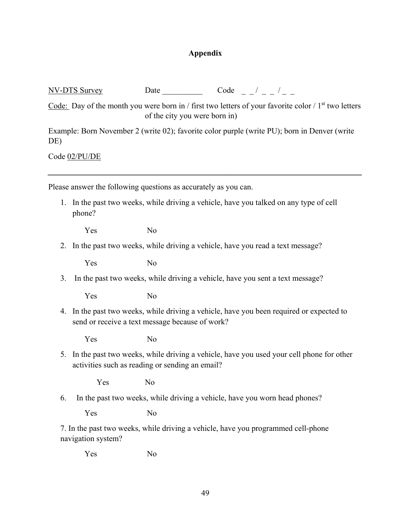## **Appendix**

 $NV-DTS$  Survey Date Code  $/$   $-$  /  $-$ 

Code: Day of the month you were born in / first two letters of your favorite color /  $1<sup>st</sup>$  two letters of the city you were born in)

Example: Born November 2 (write 02); favorite color purple (write PU); born in Denver (write DE)

*\_\_\_\_\_\_\_\_\_\_\_\_\_\_\_\_\_\_\_\_\_\_\_\_\_\_\_\_\_\_\_\_\_\_\_\_\_\_\_\_\_\_\_\_\_\_\_\_\_\_\_\_\_\_\_\_\_\_\_\_\_\_\_\_\_\_\_\_\_\_\_\_\_\_\_\_\_\_* 

Code 02/PU/DE

Please answer the following questions as accurately as you can.

1. In the past two weeks, while driving a vehicle, have you talked on any type of cell phone?

Yes No

2. In the past two weeks, while driving a vehicle, have you read a text message?

Yes No

3. In the past two weeks, while driving a vehicle, have you sent a text message?

Yes No

4. In the past two weeks, while driving a vehicle, have you been required or expected to send or receive a text message because of work?

Yes No

5. In the past two weeks, while driving a vehicle, have you used your cell phone for other activities such as reading or sending an email?

Yes No

6. In the past two weeks, while driving a vehicle, have you worn head phones?

Yes No

7. In the past two weeks, while driving a vehicle, have you programmed cell-phone navigation system?

Yes No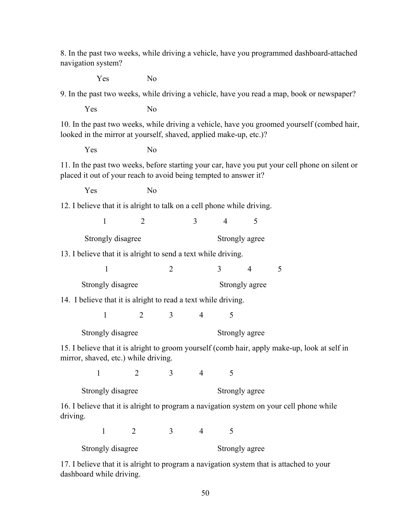8. In the past two weeks, while driving a vehicle, have you programmed dashboard-attached navigation system?

Yes No

9. In the past two weeks, while driving a vehicle, have you read a map, book or newspaper?

Yes No

10. In the past two weeks, while driving a vehicle, have you groomed yourself (combed hair, looked in the mirror at yourself, shaved, applied make-up, etc.)?

Yes No

11. In the past two weeks, before starting your car, have you put your cell phone on silent or placed it out of your reach to avoid being tempted to answer it?

Yes No

12. I believe that it is alright to talk on a cell phone while driving.

| $1 \qquad 2 \qquad 3 \qquad 4 \qquad 5$ |  |  |
|-----------------------------------------|--|--|
|                                         |  |  |

Strongly disagree Strongly agree

13. I believe that it is alright to send a text while driving.

| Strongly disagree |  | Strongly agree |  |
|-------------------|--|----------------|--|

14. I believe that it is alright to read a text while driving.

1 2 3 4 5

Strongly disagree Strongly agree

15. I believe that it is alright to groom yourself (comb hair, apply make-up, look at self in mirror, shaved, etc.) while driving.

1 2 3 4 5

Strongly disagree Strongly agree

16. I believe that it is alright to program a navigation system on your cell phone while driving.

1 2 3 4 5

Strongly disagree Strongly agree

17. I believe that it is alright to program a navigation system that is attached to your dashboard while driving.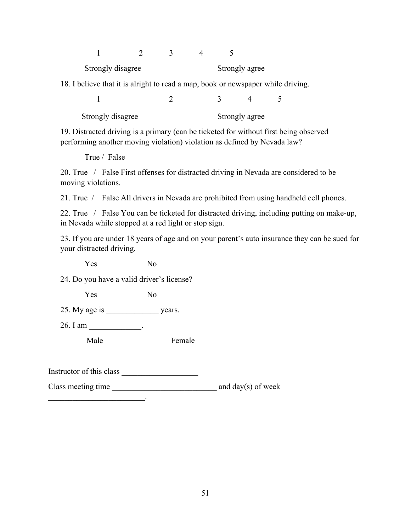| Strongly disagree<br>Strongly agree                                              |  |  |  |  |                |  |  |
|----------------------------------------------------------------------------------|--|--|--|--|----------------|--|--|
| 18. I believe that it is alright to read a map, book or newspaper while driving. |  |  |  |  |                |  |  |
|                                                                                  |  |  |  |  |                |  |  |
| Strongly disagree                                                                |  |  |  |  | Strongly agree |  |  |

19. Distracted driving is a primary (can be ticketed for without first being observed performing another moving violation) violation as defined by Nevada law?

True / False

20. True / False First offenses for distracted driving in Nevada are considered to be moving violations.

21. True / False All drivers in Nevada are prohibited from using handheld cell phones.

22. True / False You can be ticketed for distracted driving, including putting on make-up, in Nevada while stopped at a red light or stop sign.

23. If you are under 18 years of age and on your parent's auto insurance they can be sued for your distracted driving.

Yes No

24. Do you have a valid driver's license?

Yes No

25. My age is \_\_\_\_\_\_\_\_\_\_\_\_\_\_\_\_\_ years.

26. I am \_\_\_\_\_\_\_\_\_\_\_\_\_.

Male Female

Instructor of this class \_\_\_\_\_\_\_\_\_\_\_\_\_\_\_\_\_\_\_

 $\mathcal{L}_\text{max}$  and  $\mathcal{L}_\text{max}$  and  $\mathcal{L}_\text{max}$ 

Class meeting time \_\_\_\_\_\_\_\_\_\_\_\_\_\_\_\_\_\_\_\_\_\_\_\_\_\_ and day(s) of week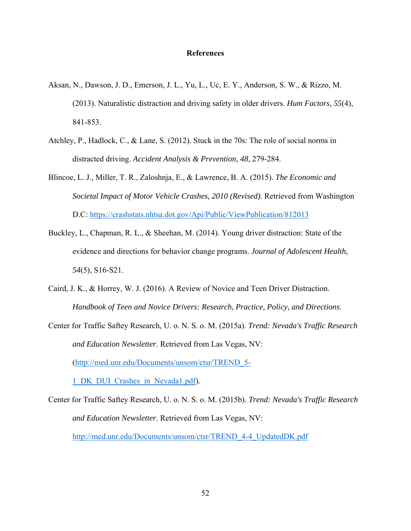#### **References**

- Aksan, N., Dawson, J. D., Emerson, J. L., Yu, L., Uc, E. Y., Anderson, S. W., & Rizzo, M. (2013). Naturalistic distraction and driving safety in older drivers. *Hum Factors, 55*(4), 841-853.
- Atchley, P., Hadlock, C., & Lane, S. (2012). Stuck in the 70s: The role of social norms in distracted driving. *Accident Analysis & Prevention, 48*, 279-284.
- Blincoe, L. J., Miller, T. R., Zaloshnja, E., & Lawrence, B. A. (2015). *The Economic and Societal Impact of Motor Vehicle Crashes, 2010 (Revised)*. Retrieved from Washington D.C: https://crashstats.nhtsa.dot.gov/Api/Public/ViewPublication/812013
- Buckley, L., Chapman, R. L., & Sheehan, M. (2014). Young driver distraction: State of the evidence and directions for behavior change programs. *Journal of Adolescent Health, 54*(5), S16-S21.
- Caird, J. K., & Horrey, W. J. (2016). A Review of Novice and Teen Driver Distraction. *Handbook of Teen and Novice Drivers: Research, Practice, Policy, and Directions*.
- Center for Traffic Saftey Research, U. o. N. S. o. M. (2015a). *Trend: Nevada's Traffic Research and Education Newsletter*. Retrieved from Las Vegas, NV: (http://med.unr.edu/Documents/unsom/ctsr/TREND\_5- 1\_DK\_DUI\_Crashes\_in\_Nevada1.pdf).

Center for Traffic Saftey Research, U. o. N. S. o. M. (2015b). *Trend: Nevada's Traffic Research and Education Newsletter*. Retrieved from Las Vegas, NV: http://med.unr.edu/Documents/unsom/ctsr/TREND\_4-4\_UpdatedDK.pdf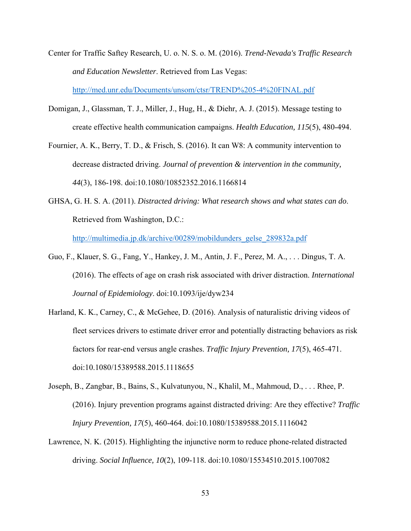- Center for Traffic Saftey Research, U. o. N. S. o. M. (2016). *Trend-Nevada's Traffic Research and Education Newsletter*. Retrieved from Las Vegas: http://med.unr.edu/Documents/unsom/ctsr/TREND%205-4%20FINAL.pdf
- Domigan, J., Glassman, T. J., Miller, J., Hug, H., & Diehr, A. J. (2015). Message testing to create effective health communication campaigns. *Health Education, 115*(5), 480-494.
- Fournier, A. K., Berry, T. D., & Frisch, S. (2016). It can W8: A community intervention to decrease distracted driving. *Journal of prevention & intervention in the community, 44*(3), 186-198. doi:10.1080/10852352.2016.1166814
- GHSA, G. H. S. A. (2011). *Distracted driving: What research shows and what states can do*. Retrieved from Washington, D.C.:

http://multimedia.jp.dk/archive/00289/mobildunders\_gelse\_289832a.pdf

- Guo, F., Klauer, S. G., Fang, Y., Hankey, J. M., Antin, J. F., Perez, M. A., . . . Dingus, T. A. (2016). The effects of age on crash risk associated with driver distraction. *International Journal of Epidemiology*. doi:10.1093/ije/dyw234
- Harland, K. K., Carney, C., & McGehee, D. (2016). Analysis of naturalistic driving videos of fleet services drivers to estimate driver error and potentially distracting behaviors as risk factors for rear-end versus angle crashes. *Traffic Injury Prevention, 17*(5), 465-471. doi:10.1080/15389588.2015.1118655
- Joseph, B., Zangbar, B., Bains, S., Kulvatunyou, N., Khalil, M., Mahmoud, D., . . . Rhee, P. (2016). Injury prevention programs against distracted driving: Are they effective? *Traffic Injury Prevention, 17*(5), 460-464. doi:10.1080/15389588.2015.1116042
- Lawrence, N. K. (2015). Highlighting the injunctive norm to reduce phone-related distracted driving. *Social Influence, 10*(2), 109-118. doi:10.1080/15534510.2015.1007082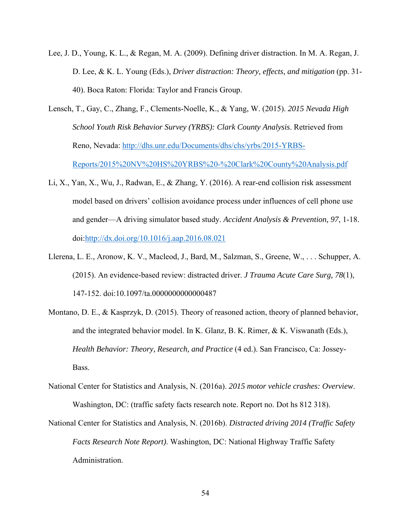- Lee, J. D., Young, K. L., & Regan, M. A. (2009). Defining driver distraction. In M. A. Regan, J. D. Lee, & K. L. Young (Eds.), *Driver distraction: Theory, effects, and mitigation* (pp. 31- 40). Boca Raton: Florida: Taylor and Francis Group.
- Lensch, T., Gay, C., Zhang, F., Clements-Noelle, K., & Yang, W. (2015). *2015 Nevada High School Youth Risk Behavior Survey (YRBS): Clark County Analysis*. Retrieved from Reno, Nevada: http://dhs.unr.edu/Documents/dhs/chs/yrbs/2015-YRBS-Reports/2015%20NV%20HS%20YRBS%20-%20Clark%20County%20Analysis.pdf
- Li, X., Yan, X., Wu, J., Radwan, E., & Zhang, Y. (2016). A rear-end collision risk assessment model based on drivers' collision avoidance process under influences of cell phone use and gender—A driving simulator based study. *Accident Analysis & Prevention, 97*, 1-18. doi:http://dx.doi.org/10.1016/j.aap.2016.08.021
- Llerena, L. E., Aronow, K. V., Macleod, J., Bard, M., Salzman, S., Greene, W., . . . Schupper, A. (2015). An evidence-based review: distracted driver. *J Trauma Acute Care Surg, 78*(1), 147-152. doi:10.1097/ta.0000000000000487
- Montano, D. E., & Kasprzyk, D. (2015). Theory of reasoned action, theory of planned behavior, and the integrated behavior model. In K. Glanz, B. K. Rimer, & K. Viswanath (Eds.), *Health Behavior: Theory, Research, and Practice* (4 ed.). San Francisco, Ca: Jossey-Bass.
- National Center for Statistics and Analysis, N. (2016a). *2015 motor vehicle crashes: Overview*. Washington, DC: (traffic safety facts research note. Report no. Dot hs 812 318).
- National Center for Statistics and Analysis, N. (2016b). *Distracted driving 2014 (Traffic Safety Facts Research Note Report)*. Washington, DC: National Highway Traffic Safety Administration.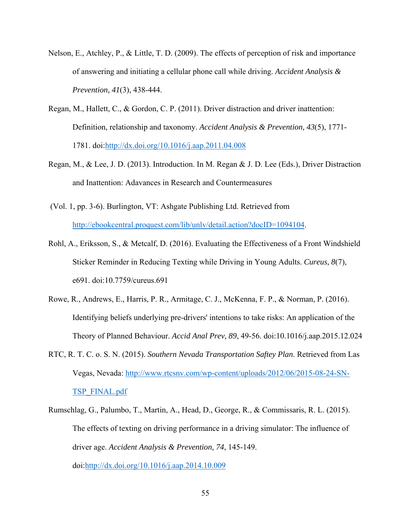- Nelson, E., Atchley, P., & Little, T. D. (2009). The effects of perception of risk and importance of answering and initiating a cellular phone call while driving. *Accident Analysis & Prevention, 41*(3), 438-444.
- Regan, M., Hallett, C., & Gordon, C. P. (2011). Driver distraction and driver inattention: Definition, relationship and taxonomy. *Accident Analysis & Prevention, 43*(5), 1771- 1781. doi:http://dx.doi.org/10.1016/j.aap.2011.04.008
- Regan, M., & Lee, J. D. (2013). Introduction. In M. Regan & J. D. Lee (Eds.), Driver Distraction and Inattention: Adavances in Research and Countermeasures
- (Vol. 1, pp. 3-6). Burlington, VT: Ashgate Publishing Ltd. Retrieved from http://ebookcentral.proquest.com/lib/unlv/detail.action?docID=1094104.
- Rohl, A., Eriksson, S., & Metcalf, D. (2016). Evaluating the Effectiveness of a Front Windshield Sticker Reminder in Reducing Texting while Driving in Young Adults. *Cureus, 8*(7), e691. doi:10.7759/cureus.691
- Rowe, R., Andrews, E., Harris, P. R., Armitage, C. J., McKenna, F. P., & Norman, P. (2016). Identifying beliefs underlying pre-drivers' intentions to take risks: An application of the Theory of Planned Behaviour. *Accid Anal Prev, 89*, 49-56. doi:10.1016/j.aap.2015.12.024
- RTC, R. T. C. o. S. N. (2015). *Southern Nevada Transportation Saftey Plan*. Retrieved from Las Vegas, Nevada: http://www.rtcsnv.com/wp-content/uploads/2012/06/2015-08-24-SN-TSP\_FINAL.pdf
- Rumschlag, G., Palumbo, T., Martin, A., Head, D., George, R., & Commissaris, R. L. (2015). The effects of texting on driving performance in a driving simulator: The influence of driver age. *Accident Analysis & Prevention, 74*, 145-149. doi:http://dx.doi.org/10.1016/j.aap.2014.10.009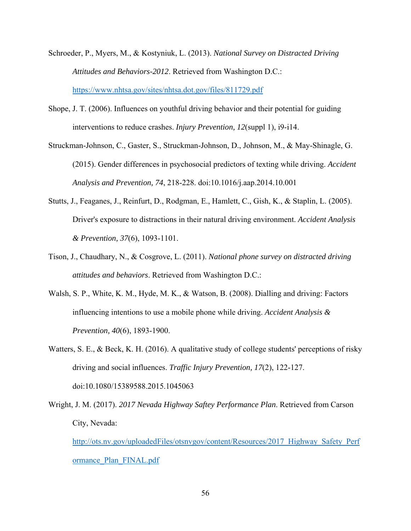- Schroeder, P., Myers, M., & Kostyniuk, L. (2013). *National Survey on Distracted Driving Attitudes and Behaviors-2012*. Retrieved from Washington D.C.: https://www.nhtsa.gov/sites/nhtsa.dot.gov/files/811729.pdf
- Shope, J. T. (2006). Influences on youthful driving behavior and their potential for guiding interventions to reduce crashes. *Injury Prevention, 12*(suppl 1), i9-i14.
- Struckman-Johnson, C., Gaster, S., Struckman-Johnson, D., Johnson, M., & May-Shinagle, G. (2015). Gender differences in psychosocial predictors of texting while driving. *Accident Analysis and Prevention, 74*, 218-228. doi:10.1016/j.aap.2014.10.001
- Stutts, J., Feaganes, J., Reinfurt, D., Rodgman, E., Hamlett, C., Gish, K., & Staplin, L. (2005). Driver's exposure to distractions in their natural driving environment. *Accident Analysis & Prevention, 37*(6), 1093-1101.
- Tison, J., Chaudhary, N., & Cosgrove, L. (2011). *National phone survey on distracted driving attitudes and behaviors*. Retrieved from Washington D.C.:
- Walsh, S. P., White, K. M., Hyde, M. K., & Watson, B. (2008). Dialling and driving: Factors influencing intentions to use a mobile phone while driving. *Accident Analysis & Prevention, 40*(6), 1893-1900.
- Watters, S. E., & Beck, K. H. (2016). A qualitative study of college students' perceptions of risky driving and social influences. *Traffic Injury Prevention, 17*(2), 122-127. doi:10.1080/15389588.2015.1045063
- Wright, J. M. (2017). *2017 Nevada Highway Saftey Performance Plan*. Retrieved from Carson City, Nevada:

http://ots.nv.gov/uploadedFiles/otsnvgov/content/Resources/2017\_Highway\_Safety\_Perf ormance\_Plan\_FINAL.pdf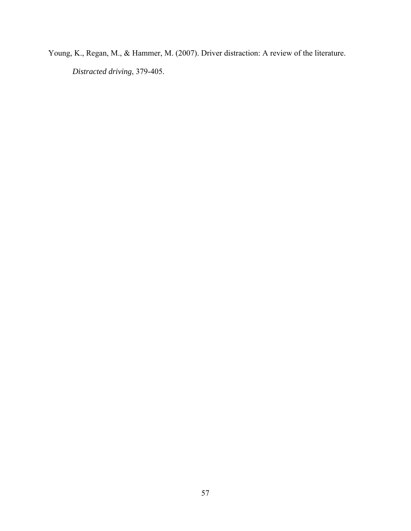Young, K., Regan, M., & Hammer, M. (2007). Driver distraction: A review of the literature. *Distracted driving*, 379-405.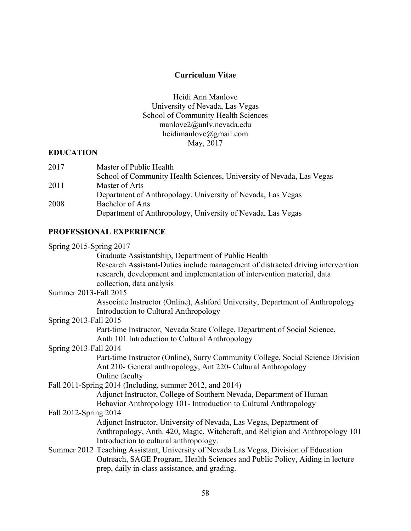# **Curriculum Vitae**

Heidi Ann Manlove University of Nevada, Las Vegas School of Community Health Sciences manlove2@unlv.nevada.edu heidimanlove@gmail.com May, 2017

# **EDUCATION**

| 2017 | Master of Public Health                                              |
|------|----------------------------------------------------------------------|
|      | School of Community Health Sciences, University of Nevada, Las Vegas |
| 2011 | Master of Arts                                                       |
|      | Department of Anthropology, University of Nevada, Las Vegas          |
| 2008 | Bachelor of Arts                                                     |
|      | Department of Anthropology, University of Nevada, Las Vegas          |

# **PROFESSIONAL EXPERIENCE**

| Spring $2015$ -Spring $2017$ |                                                                                       |
|------------------------------|---------------------------------------------------------------------------------------|
|                              | Graduate Assistantship, Department of Public Health                                   |
|                              | Research Assistant-Duties include management of distracted driving intervention       |
|                              | research, development and implementation of intervention material, data               |
|                              | collection, data analysis                                                             |
| Summer 2013-Fall 2015        |                                                                                       |
|                              | Associate Instructor (Online), Ashford University, Department of Anthropology         |
|                              | <b>Introduction to Cultural Anthropology</b>                                          |
| Spring 2013-Fall 2015        |                                                                                       |
|                              | Part-time Instructor, Nevada State College, Department of Social Science,             |
|                              | Anth 101 Introduction to Cultural Anthropology                                        |
| Spring 2013-Fall 2014        |                                                                                       |
|                              | Part-time Instructor (Online), Surry Community College, Social Science Division       |
|                              | Ant 210- General anthropology, Ant 220- Cultural Anthropology                         |
|                              | Online faculty                                                                        |
|                              | Fall 2011-Spring 2014 (Including, summer 2012, and 2014)                              |
|                              | Adjunct Instructor, College of Southern Nevada, Department of Human                   |
|                              | Behavior Anthropology 101- Introduction to Cultural Anthropology                      |
| Fall 2012-Spring 2014        |                                                                                       |
|                              | Adjunct Instructor, University of Nevada, Las Vegas, Department of                    |
|                              | Anthropology, Anth. 420, Magic, Witchcraft, and Religion and Anthropology 101         |
|                              | Introduction to cultural anthropology.                                                |
|                              | Summer 2012 Teaching Assistant, University of Nevada Las Vegas, Division of Education |
|                              | Outreach, SAGE Program, Health Sciences and Public Policy, Aiding in lecture          |
|                              | prep, daily in-class assistance, and grading.                                         |
|                              |                                                                                       |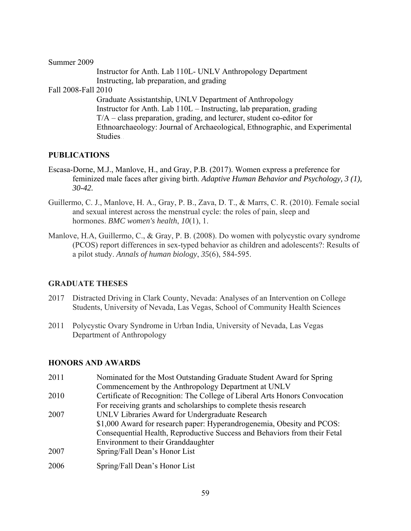Summer 2009

 Instructor for Anth. Lab 110L- UNLV Anthropology Department Instructing, lab preparation, and grading

Fall 2008-Fall 2010

 Graduate Assistantship, UNLV Department of Anthropology Instructor for Anth. Lab 110L – Instructing, lab preparation, grading T/A – class preparation, grading, and lecturer, student co-editor for Ethnoarchaeology: Journal of Archaeological, Ethnographic, and Experimental Studies..

# **PUBLICATIONS**

- Escasa-Dorne, M.J., Manlove, H., and Gray, P.B. (2017). Women express a preference for feminized male faces after giving birth. *Adaptive Human Behavior and Psychology, 3 (1), 30-42.*
- Guillermo, C. J., Manlove, H. A., Gray, P. B., Zava, D. T., & Marrs, C. R. (2010). Female social and sexual interest across the menstrual cycle: the roles of pain, sleep and hormones. *BMC women's health*, *10*(1), 1.
- Manlove, H.A, Guillermo, C., & Gray, P. B. (2008). Do women with polycystic ovary syndrome (PCOS) report differences in sex-typed behavior as children and adolescents?: Results of a pilot study. *Annals of human biology*, *35*(6), 584-595.

### **GRADUATE THESES**

- 2017 Distracted Driving in Clark County, Nevada: Analyses of an Intervention on College Students, University of Nevada, Las Vegas, School of Community Health Sciences
- 2011 Polycystic Ovary Syndrome in Urban India, University of Nevada, Las Vegas Department of Anthropology

### **HONORS AND AWARDS**

2011 Nominated for the Most Outstanding Graduate Student Award for Spring Commencement by the Anthropology Department at UNLV 2010 Certificate of Recognition: The College of Liberal Arts Honors Convocation For receiving grants and scholarships to complete thesis research 2007 UNLV Libraries Award for Undergraduate Research \$1,000 Award for research paper: Hyperandrogenemia, Obesity and PCOS: Consequential Health, Reproductive Success and Behaviors from their Fetal Environment to their Granddaughter 2007 Spring/Fall Dean's Honor List 2006 Spring/Fall Dean's Honor List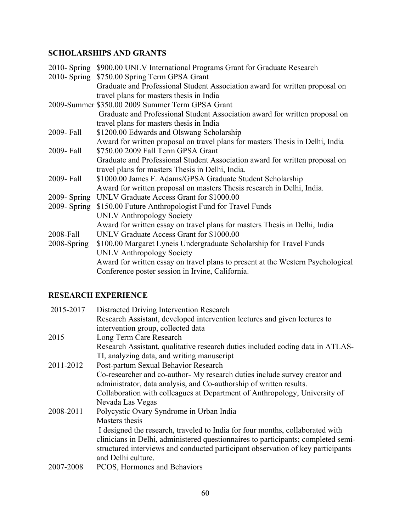# **SCHOLARSHIPS AND GRANTS**

| 2010- Spring \$900.00 UNLV International Programs Grant for Graduate Research   |
|---------------------------------------------------------------------------------|
| 2010- Spring \$750.00 Spring Term GPSA Grant                                    |
| Graduate and Professional Student Association award for written proposal on     |
| travel plans for masters thesis in India                                        |
| 2009-Summer \$350.00 2009 Summer Term GPSA Grant                                |
| Graduate and Professional Student Association award for written proposal on     |
| travel plans for masters thesis in India                                        |
| \$1200.00 Edwards and Olswang Scholarship                                       |
| Award for written proposal on travel plans for masters Thesis in Delhi, India   |
| \$750.00 2009 Fall Term GPSA Grant                                              |
| Graduate and Professional Student Association award for written proposal on     |
| travel plans for masters Thesis in Delhi, India.                                |
| \$1000.00 James F. Adams/GPSA Graduate Student Scholarship                      |
| Award for written proposal on masters Thesis research in Delhi, India.          |
| UNLV Graduate Access Grant for \$1000.00                                        |
| \$150.00 Future Anthropologist Fund for Travel Funds                            |
| <b>UNLV Anthropology Society</b>                                                |
| Award for written essay on travel plans for masters Thesis in Delhi, India      |
| UNLV Graduate Access Grant for \$1000.00                                        |
| \$100.00 Margaret Lyneis Undergraduate Scholarship for Travel Funds             |
| <b>UNLV Anthropology Society</b>                                                |
| Award for written essay on travel plans to present at the Western Psychological |
| Conference poster session in Irvine, California.                                |
|                                                                                 |

# **RESEARCH EXPERIENCE**

| 2015-2017 | Distracted Driving Intervention Research                                          |
|-----------|-----------------------------------------------------------------------------------|
|           | Research Assistant, developed intervention lectures and given lectures to         |
|           | intervention group, collected data                                                |
| 2015      | Long Term Care Research                                                           |
|           | Research Assistant, qualitative research duties included coding data in ATLAS-    |
|           | TI, analyzing data, and writing manuscript                                        |
| 2011-2012 | Post-partum Sexual Behavior Research                                              |
|           | Co-researcher and co-author- My research duties include survey creator and        |
|           | administrator, data analysis, and Co-authorship of written results.               |
|           | Collaboration with colleagues at Department of Anthropology, University of        |
|           | Nevada Las Vegas                                                                  |
| 2008-2011 | Polycystic Ovary Syndrome in Urban India                                          |
|           | Masters thesis                                                                    |
|           | I designed the research, traveled to India for four months, collaborated with     |
|           | clinicians in Delhi, administered questionnaires to participants; completed semi- |
|           | structured interviews and conducted participant observation of key participants   |
|           | and Delhi culture.                                                                |
| 2007-2008 | PCOS, Hormones and Behaviors                                                      |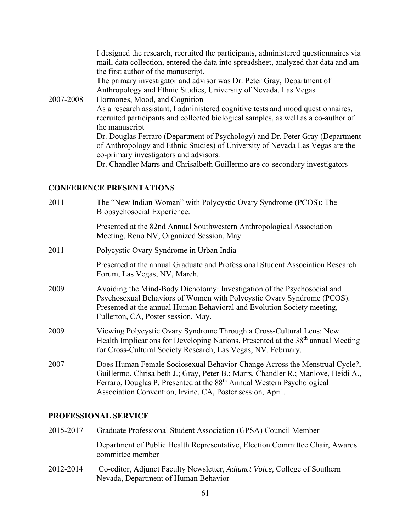| I designed the research, recruited the participants, administered questionnaires via<br>mail, data collection, entered the data into spreadsheet, analyzed that data and am |
|-----------------------------------------------------------------------------------------------------------------------------------------------------------------------------|
| the first author of the manuscript.                                                                                                                                         |
| The primary investigator and advisor was Dr. Peter Gray, Department of                                                                                                      |
| Anthropology and Ethnic Studies, University of Nevada, Las Vegas                                                                                                            |
| Hormones, Mood, and Cognition                                                                                                                                               |
| As a research assistant, I administered cognitive tests and mood questionnaires,                                                                                            |
| recruited participants and collected biological samples, as well as a co-author of                                                                                          |
| the manuscript                                                                                                                                                              |
| Dr. Douglas Ferraro (Department of Psychology) and Dr. Peter Gray (Department                                                                                               |
| of Anthropology and Ethnic Studies) of University of Nevada Las Vegas are the                                                                                               |
| co-primary investigators and advisors.                                                                                                                                      |
| Dr. Chandler Marrs and Chrisalbeth Guillermo are co-secondary investigators                                                                                                 |
|                                                                                                                                                                             |

# **CONFERENCE PRESENTATIONS**

| 2011 | The "New Indian Woman" with Polycystic Ovary Syndrome (PCOS): The<br>Biopsychosocial Experience.                                                                                                                                                                                                                    |
|------|---------------------------------------------------------------------------------------------------------------------------------------------------------------------------------------------------------------------------------------------------------------------------------------------------------------------|
|      | Presented at the 82nd Annual Southwestern Anthropological Association<br>Meeting, Reno NV, Organized Session, May.                                                                                                                                                                                                  |
| 2011 | Polycystic Ovary Syndrome in Urban India                                                                                                                                                                                                                                                                            |
|      | Presented at the annual Graduate and Professional Student Association Research<br>Forum, Las Vegas, NV, March.                                                                                                                                                                                                      |
| 2009 | Avoiding the Mind-Body Dichotomy: Investigation of the Psychosocial and<br>Psychosexual Behaviors of Women with Polycystic Ovary Syndrome (PCOS).<br>Presented at the annual Human Behavioral and Evolution Society meeting,<br>Fullerton, CA, Poster session, May.                                                 |
| 2009 | Viewing Polycystic Ovary Syndrome Through a Cross-Cultural Lens: New<br>Health Implications for Developing Nations. Presented at the 38 <sup>th</sup> annual Meeting<br>for Cross-Cultural Society Research, Las Vegas, NV. February.                                                                               |
| 2007 | Does Human Female Sociosexual Behavior Change Across the Menstrual Cycle?,<br>Guillermo, Chrisalbeth J.; Gray, Peter B.; Marrs, Chandler R.; Manlove, Heidi A.,<br>Ferraro, Douglas P. Presented at the 88 <sup>th</sup> Annual Western Psychological<br>Association Convention, Irvine, CA, Poster session, April. |

## **PROFESSIONAL SERVICE**

| 2015-2017 | Graduate Professional Student Association (GPSA) Council Member                                  |
|-----------|--------------------------------------------------------------------------------------------------|
|           | Department of Public Health Representative, Election Committee Chair, Awards<br>committee member |
| <b></b>   |                                                                                                  |

2012-2014 Co-editor, Adjunct Faculty Newsletter, *Adjunct Voice,* College of Southern Nevada, Department of Human Behavior